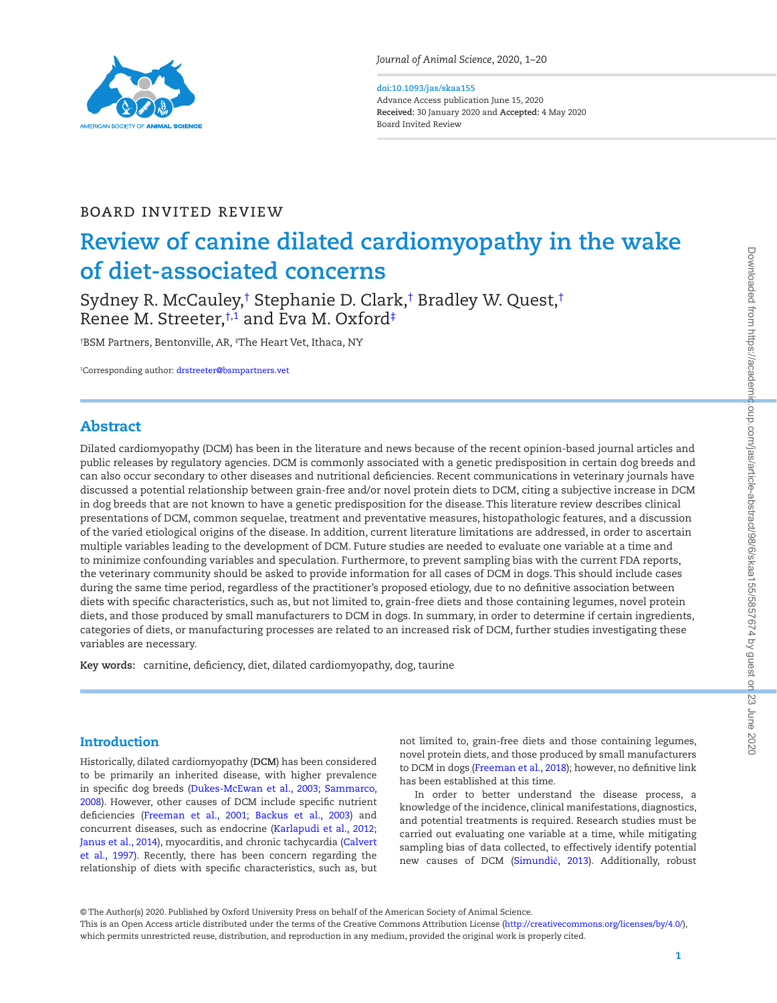

*Journal of Animal Science*, 2020, 1–20

#### **doi:10.1093/jas/skaa155** Advance Access publication June 15, 2020

**Received:** 30 January 2020 and **Accepted:** 4 May 2020 Board Invited Review

# Board Invited Review

# **Review of canine dilated cardiomyopathy in the wake of diet-associated concerns**

Sydney R. McCauley,† Stephanie D. Clark,† Bradley W. Quest,† Renee M. Streeter,†,[1](#page-0-0) and Eva M. Oxford‡

† BSM Partners, Bentonville, AR, ‡ The Heart Vet, Ithaca, NY

<span id="page-0-0"></span>1 Corresponding author: [drstreeter@bsmpartners.vet](mailto:drstreeter@bsmpartners.vet?subject=)

# Abstract

Dilated cardiomyopathy (DCM) has been in the literature and news because of the recent opinion-based journal articles and public releases by regulatory agencies. DCM is commonly associated with a genetic predisposition in certain dog breeds and can also occur secondary to other diseases and nutritional deficiencies. Recent communications in veterinary journals have discussed a potential relationship between grain-free and/or novel protein diets to DCM, citing a subjective increase in DCM in dog breeds that are not known to have a genetic predisposition for the disease. This literature review describes clinical presentations of DCM, common sequelae, treatment and preventative measures, histopathologic features, and a discussion of the varied etiological origins of the disease. In addition, current literature limitations are addressed, in order to ascertain multiple variables leading to the development of DCM. Future studies are needed to evaluate one variable at a time and to minimize confounding variables and speculation. Furthermore, to prevent sampling bias with the current FDA reports, the veterinary community should be asked to provide information for all cases of DCM in dogs. This should include cases during the same time period, regardless of the practitioner's proposed etiology, due to no definitive association between diets with specific characteristics, such as, but not limited to, grain-free diets and those containing legumes, novel protein diets, and those produced by small manufacturers to DCM in dogs. In summary, in order to determine if certain ingredients, categories of diets, or manufacturing processes are related to an increased risk of DCM, further studies investigating these variables are necessary.

**Key words:** carnitine, deficiency, diet, dilated cardiomyopathy, dog, taurine

## Introduction

L

Historically, dilated cardiomyopathy (**DCM**) has been considered to be primarily an inherited disease, with higher prevalence in specific dog breeds (Dukes-McEwan et al., 2003; Sammarco, 2008). However, other causes of DCM include specific nutrient deficiencies (Freeman et al., 2001; Backus et al., 2003) and concurrent diseases, such as endocrine (Karlapudi et al., 2012; Janus et al., 2014), myocarditis, and chronic tachycardia (Calvert et al., 1997). Recently, there has been concern regarding the relationship of diets with specific characteristics, such as, but not limited to, grain-free diets and those containing legumes, novel protein diets, and those produced by small manufacturers to DCM in dogs (Freeman et al., 2018); however, no definitive link has been established at this time.

In order to better understand the disease process, a knowledge of the incidence, clinical manifestations, diagnostics, and potential treatments is required. Research studies must be carried out evaluating one variable at a time, while mitigating sampling bias of data collected, to effectively identify potential new causes of DCM (Simundić, 2013). Additionally, robust

© The Author(s) 2020. Published by Oxford University Press on behalf of the American Society of Animal Science.

This is an Open Access article distributed under the terms of the Creative Commons Attribution License [\(http://creativecommons.org/licenses/by/4.0/](http://creativecommons.org/licenses/by/4.0/)), which permits unrestricted reuse, distribution, and reproduction in any medium, provided the original work is properly cited.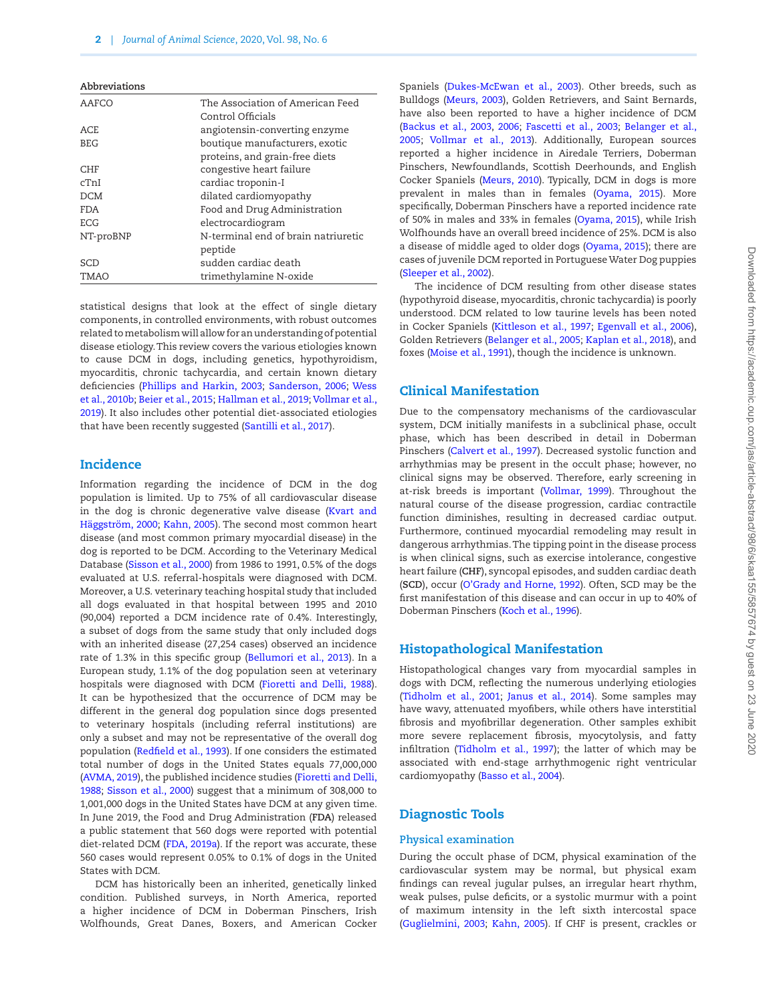| The Association of American Feed    |
|-------------------------------------|
| Control Officials                   |
| angiotensin-converting enzyme       |
| boutique manufacturers, exotic      |
| proteins, and grain-free diets      |
| congestive heart failure            |
| cardiac troponin-I                  |
| dilated cardiomyopathy              |
| Food and Drug Administration        |
| electrocardiogram                   |
| N-terminal end of brain natriuretic |
| peptide                             |
| sudden cardiac death                |
| trimethylamine N-oxide              |
|                                     |

statistical designs that look at the effect of single dietary components, in controlled environments, with robust outcomes related to metabolism will allow for an understanding of potential disease etiology. This review covers the various etiologies known to cause DCM in dogs, including genetics, hypothyroidism, myocarditis, chronic tachycardia, and certain known dietary deficiencies (Phillips and Harkin, 2003; Sanderson, 2006; Wess et al., 2010b; Beier et al., 2015; Hallman et al., 2019; Vollmar et al., 2019). It also includes other potential diet-associated etiologies that have been recently suggested (Santilli et al., 2017).

## **Incidence**

Information regarding the incidence of DCM in the dog population is limited. Up to 75% of all cardiovascular disease in the dog is chronic degenerative valve disease (Kvart and Häggström, 2000; Kahn, 2005). The second most common heart disease (and most common primary myocardial disease) in the dog is reported to be DCM. According to the Veterinary Medical Database (Sisson et al., 2000) from 1986 to 1991, 0.5% of the dogs evaluated at U.S. referral-hospitals were diagnosed with DCM. Moreover, a U.S. veterinary teaching hospital study that included all dogs evaluated in that hospital between 1995 and 2010 (90,004) reported a DCM incidence rate of 0.4%. Interestingly, a subset of dogs from the same study that only included dogs with an inherited disease (27,254 cases) observed an incidence rate of 1.3% in this specific group (Bellumori et al., 2013). In a European study, 1.1% of the dog population seen at veterinary hospitals were diagnosed with DCM (Fioretti and Delli, 1988). It can be hypothesized that the occurrence of DCM may be different in the general dog population since dogs presented to veterinary hospitals (including referral institutions) are only a subset and may not be representative of the overall dog population (Redfield et al., 1993). If one considers the estimated total number of dogs in the United States equals 77,000,000 (AVMA, 2019), the published incidence studies (Fioretti and Delli, 1988; Sisson et al., 2000) suggest that a minimum of 308,000 to 1,001,000 dogs in the United States have DCM at any given time. In June 2019, the Food and Drug Administration (**FDA**) released a public statement that 560 dogs were reported with potential diet-related DCM (FDA, 2019a). If the report was accurate, these 560 cases would represent 0.05% to 0.1% of dogs in the United States with DCM.

DCM has historically been an inherited, genetically linked condition. Published surveys, in North America, reported a higher incidence of DCM in Doberman Pinschers, Irish Wolfhounds, Great Danes, Boxers, and American Cocker

Spaniels (Dukes-McEwan et al., 2003). Other breeds, such as Bulldogs (Meurs, 2003), Golden Retrievers, and Saint Bernards, have also been reported to have a higher incidence of DCM (Backus et al., 2003, 2006; Fascetti et al., 2003; Belanger et al., 2005; Vollmar et al., 2013). Additionally, European sources reported a higher incidence in Airedale Terriers, Doberman Pinschers, Newfoundlands, Scottish Deerhounds, and English Cocker Spaniels (Meurs, 2010). Typically, DCM in dogs is more prevalent in males than in females (Oyama, 2015). More specifically, Doberman Pinschers have a reported incidence rate of 50% in males and 33% in females (Oyama, 2015), while Irish Wolfhounds have an overall breed incidence of 25%. DCM is also a disease of middle aged to older dogs (Oyama, 2015); there are cases of juvenile DCM reported in Portuguese Water Dog puppies (Sleeper et al., 2002).

The incidence of DCM resulting from other disease states (hypothyroid disease, myocarditis, chronic tachycardia) is poorly understood. DCM related to low taurine levels has been noted in Cocker Spaniels (Kittleson et al., 1997; Egenvall et al., 2006), Golden Retrievers (Belanger et al., 2005; Kaplan et al., 2018), and foxes (Moise et al., 1991), though the incidence is unknown.

## Clinical Manifestation

Due to the compensatory mechanisms of the cardiovascular system, DCM initially manifests in a subclinical phase, occult phase, which has been described in detail in Doberman Pinschers (Calvert et al., 1997). Decreased systolic function and arrhythmias may be present in the occult phase; however, no clinical signs may be observed. Therefore, early screening in at-risk breeds is important (Vollmar, 1999). Throughout the natural course of the disease progression, cardiac contractile function diminishes, resulting in decreased cardiac output. Furthermore, continued myocardial remodeling may result in dangerous arrhythmias. The tipping point in the disease process is when clinical signs, such as exercise intolerance, congestive heart failure (**CHF**), syncopal episodes, and sudden cardiac death (**SCD**), occur (O'Grady and Horne, 1992). Often, SCD may be the first manifestation of this disease and can occur in up to 40% of Doberman Pinschers (Koch et al., 1996).

## Histopathological Manifestation

Histopathological changes vary from myocardial samples in dogs with DCM, reflecting the numerous underlying etiologies (Tidholm et al., 2001; Janus et al., 2014). Some samples may have wavy, attenuated myofibers, while others have interstitial fibrosis and myofibrillar degeneration. Other samples exhibit more severe replacement fibrosis, myocytolysis, and fatty infiltration (Tidholm et al., 1997); the latter of which may be associated with end-stage arrhythmogenic right ventricular cardiomyopathy (Basso et al., 2004).

## Diagnostic Tools

#### **Physical examination**

During the occult phase of DCM, physical examination of the cardiovascular system may be normal, but physical exam findings can reveal jugular pulses, an irregular heart rhythm, weak pulses, pulse deficits, or a systolic murmur with a point of maximum intensity in the left sixth intercostal space (Guglielmini, 2003; Kahn, 2005). If CHF is present, crackles or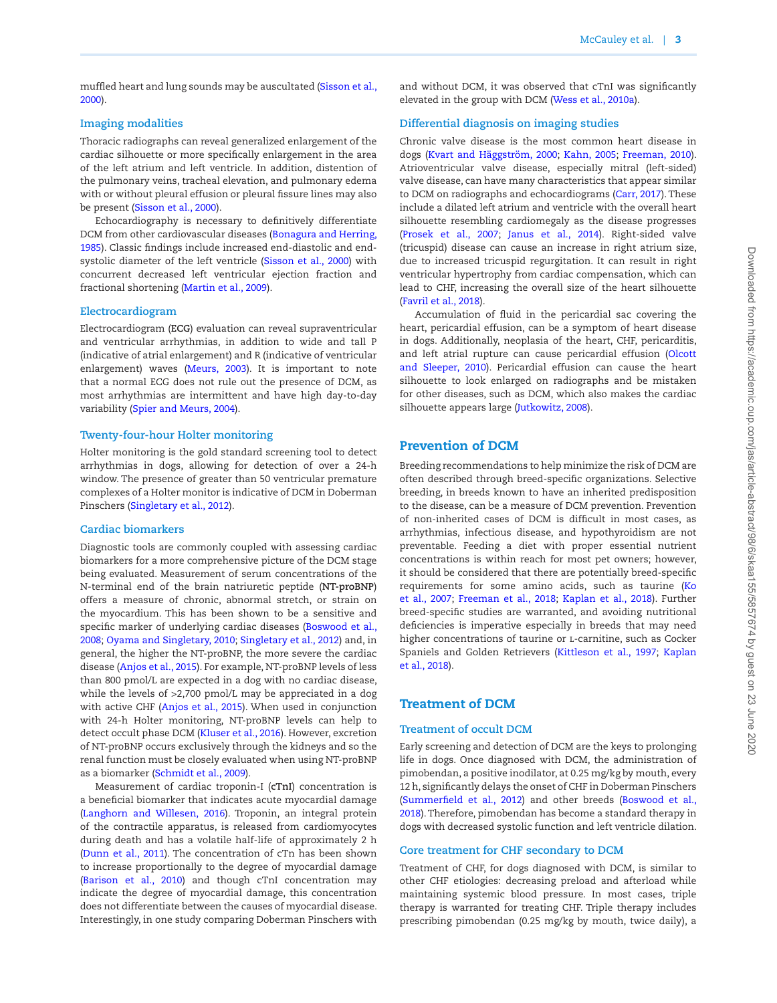muffled heart and lung sounds may be auscultated (Sisson et al., 2000).

## **Imaging modalities**

Thoracic radiographs can reveal generalized enlargement of the cardiac silhouette or more specifically enlargement in the area of the left atrium and left ventricle. In addition, distention of the pulmonary veins, tracheal elevation, and pulmonary edema with or without pleural effusion or pleural fissure lines may also be present (Sisson et al., 2000).

Echocardiography is necessary to definitively differentiate DCM from other cardiovascular diseases (Bonagura and Herring, 1985). Classic findings include increased end-diastolic and endsystolic diameter of the left ventricle (Sisson et al., 2000) with concurrent decreased left ventricular ejection fraction and fractional shortening (Martin et al., 2009).

#### **Electrocardiogram**

Electrocardiogram (**ECG**) evaluation can reveal supraventricular and ventricular arrhythmias, in addition to wide and tall P (indicative of atrial enlargement) and R (indicative of ventricular enlargement) waves (Meurs, 2003). It is important to note that a normal ECG does not rule out the presence of DCM, as most arrhythmias are intermittent and have high day-to-day variability (Spier and Meurs, 2004).

## **Twenty-four-hour Holter monitoring**

Holter monitoring is the gold standard screening tool to detect arrhythmias in dogs, allowing for detection of over a 24-h window. The presence of greater than 50 ventricular premature complexes of a Holter monitor is indicative of DCM in Doberman Pinschers (Singletary et al., 2012).

#### **Cardiac biomarkers**

Diagnostic tools are commonly coupled with assessing cardiac biomarkers for a more comprehensive picture of the DCM stage being evaluated. Measurement of serum concentrations of the N-terminal end of the brain natriuretic peptide (**NT-proBNP**) offers a measure of chronic, abnormal stretch, or strain on the myocardium. This has been shown to be a sensitive and specific marker of underlying cardiac diseases (Boswood et al., 2008; Oyama and Singletary, 2010; Singletary et al., 2012) and, in general, the higher the NT-proBNP, the more severe the cardiac disease (Anjos et al., 2015). For example, NT-proBNP levels of less than 800 pmol/L are expected in a dog with no cardiac disease, while the levels of >2,700 pmol/L may be appreciated in a dog with active CHF (Anjos et al., 2015). When used in conjunction with 24-h Holter monitoring, NT-proBNP levels can help to detect occult phase DCM (Kluser et al., 2016). However, excretion of NT-proBNP occurs exclusively through the kidneys and so the renal function must be closely evaluated when using NT-proBNP as a biomarker (Schmidt et al., 2009).

Measurement of cardiac troponin-I (**cTnI**) concentration is a beneficial biomarker that indicates acute myocardial damage (Langhorn and Willesen, 2016). Troponin, an integral protein of the contractile apparatus, is released from cardiomyocytes during death and has a volatile half-life of approximately 2 h (Dunn et al., 2011). The concentration of cTn has been shown to increase proportionally to the degree of myocardial damage (Barison et al., 2010) and though cTnI concentration may indicate the degree of myocardial damage, this concentration does not differentiate between the causes of myocardial disease. Interestingly, in one study comparing Doberman Pinschers with

and without DCM, it was observed that cTnI was significantly elevated in the group with DCM (Wess et al., 2010a).

## **Differential diagnosis on imaging studies**

Chronic valve disease is the most common heart disease in dogs (Kvart and Häggström, 2000; Kahn, 2005; Freeman, 2010). Atrioventricular valve disease, especially mitral (left-sided) valve disease, can have many characteristics that appear similar to DCM on radiographs and echocardiograms (Carr, 2017). These include a dilated left atrium and ventricle with the overall heart silhouette resembling cardiomegaly as the disease progresses (Prosek et al., 2007; Janus et al., 2014). Right-sided valve (tricuspid) disease can cause an increase in right atrium size, due to increased tricuspid regurgitation. It can result in right ventricular hypertrophy from cardiac compensation, which can lead to CHF, increasing the overall size of the heart silhouette (Favril et al., 2018).

Accumulation of fluid in the pericardial sac covering the heart, pericardial effusion, can be a symptom of heart disease in dogs. Additionally, neoplasia of the heart, CHF, pericarditis, and left atrial rupture can cause pericardial effusion (Olcott and Sleeper, 2010). Pericardial effusion can cause the heart silhouette to look enlarged on radiographs and be mistaken for other diseases, such as DCM, which also makes the cardiac silhouette appears large (Jutkowitz, 2008).

## Prevention of DCM

Breeding recommendations to help minimize the risk of DCM are often described through breed-specific organizations. Selective breeding, in breeds known to have an inherited predisposition to the disease, can be a measure of DCM prevention. Prevention of non-inherited cases of DCM is difficult in most cases, as arrhythmias, infectious disease, and hypothyroidism are not preventable. Feeding a diet with proper essential nutrient concentrations is within reach for most pet owners; however, it should be considered that there are potentially breed-specific requirements for some amino acids, such as taurine (Ko et al., 2007; Freeman et al., 2018; Kaplan et al., 2018). Further breed-specific studies are warranted, and avoiding nutritional deficiencies is imperative especially in breeds that may need higher concentrations of taurine or l-carnitine, such as Cocker Spaniels and Golden Retrievers (Kittleson et al., 1997; Kaplan et al., 2018).

## Treatment of DCM

## **Treatment of occult DCM**

Early screening and detection of DCM are the keys to prolonging life in dogs. Once diagnosed with DCM, the administration of pimobendan, a positive inodilator, at 0.25 mg/kg by mouth, every 12 h, significantly delays the onset of CHF in Doberman Pinschers (Summerfield et al., 2012) and other breeds (Boswood et al., 2018). Therefore, pimobendan has become a standard therapy in dogs with decreased systolic function and left ventricle dilation.

## **Core treatment for CHF secondary to DCM**

Treatment of CHF, for dogs diagnosed with DCM, is similar to other CHF etiologies: decreasing preload and afterload while maintaining systemic blood pressure. In most cases, triple therapy is warranted for treating CHF. Triple therapy includes prescribing pimobendan (0.25 mg/kg by mouth, twice daily), a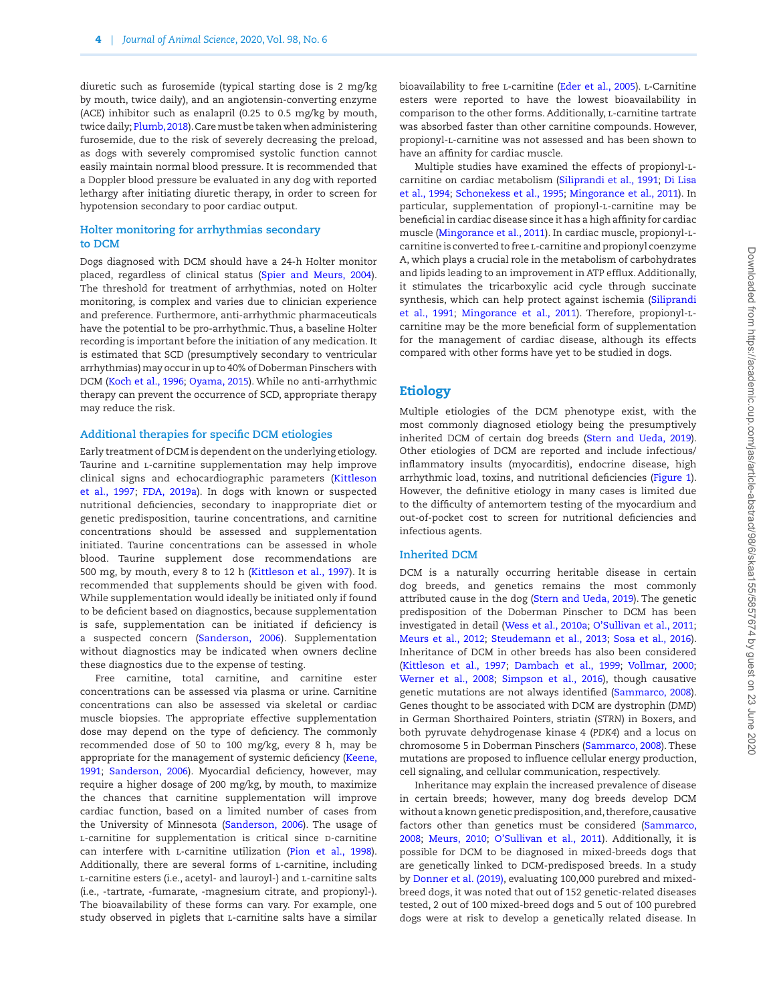diuretic such as furosemide (typical starting dose is 2 mg/kg by mouth, twice daily), and an angiotensin-converting enzyme (ACE) inhibitor such as enalapril (0.25 to 0.5 mg/kg by mouth, twice daily; Plumb, 2018). Care must be taken when administering furosemide, due to the risk of severely decreasing the preload, as dogs with severely compromised systolic function cannot easily maintain normal blood pressure. It is recommended that a Doppler blood pressure be evaluated in any dog with reported lethargy after initiating diuretic therapy, in order to screen for hypotension secondary to poor cardiac output.

#### **Holter monitoring for arrhythmias secondary to DCM**

Dogs diagnosed with DCM should have a 24-h Holter monitor placed, regardless of clinical status (Spier and Meurs, 2004). The threshold for treatment of arrhythmias, noted on Holter monitoring, is complex and varies due to clinician experience and preference. Furthermore, anti-arrhythmic pharmaceuticals have the potential to be pro-arrhythmic. Thus, a baseline Holter recording is important before the initiation of any medication. It is estimated that SCD (presumptively secondary to ventricular arrhythmias) may occur in up to 40% of Doberman Pinschers with DCM (Koch et al., 1996; Oyama, 2015). While no anti-arrhythmic therapy can prevent the occurrence of SCD, appropriate therapy may reduce the risk.

## **Additional therapies for specific DCM etiologies**

Early treatment of DCM is dependent on the underlying etiology. Taurine and l-carnitine supplementation may help improve clinical signs and echocardiographic parameters (Kittleson et al., 1997; FDA, 2019a). In dogs with known or suspected nutritional deficiencies, secondary to inappropriate diet or genetic predisposition, taurine concentrations, and carnitine concentrations should be assessed and supplementation initiated. Taurine concentrations can be assessed in whole blood. Taurine supplement dose recommendations are 500 mg, by mouth, every 8 to 12 h (Kittleson et al., 1997). It is recommended that supplements should be given with food. While supplementation would ideally be initiated only if found to be deficient based on diagnostics, because supplementation is safe, supplementation can be initiated if deficiency is a suspected concern (Sanderson, 2006). Supplementation without diagnostics may be indicated when owners decline these diagnostics due to the expense of testing.

Free carnitine, total carnitine, and carnitine ester concentrations can be assessed via plasma or urine. Carnitine concentrations can also be assessed via skeletal or cardiac muscle biopsies. The appropriate effective supplementation dose may depend on the type of deficiency. The commonly recommended dose of 50 to 100 mg/kg, every 8 h, may be appropriate for the management of systemic deficiency (Keene, [1991](#page-16-0); Sanderson, 2006). Myocardial deficiency, however, may require a higher dosage of 200 mg/kg, by mouth, to maximize the chances that carnitine supplementation will improve cardiac function, based on a limited number of cases from the University of Minnesota (Sanderson, 2006). The usage of L-carnitine for supplementation is critical since D-carnitine can interfere with l-carnitine utilization (Pion et al., 1998). Additionally, there are several forms of *L*-carnitine, including l-carnitine esters (i.e., acetyl- and lauroyl-) and l-carnitine salts (i.e., -tartrate, -fumarate, -magnesium citrate, and propionyl-). The bioavailability of these forms can vary. For example, one study observed in piglets that l-carnitine salts have a similar

bioavailability to free L-carnitine (Eder et al., 2005). L-Carnitine esters were reported to have the lowest bioavailability in comparison to the other forms. Additionally, l-carnitine tartrate was absorbed faster than other carnitine compounds. However, propionyl-l-carnitine was not assessed and has been shown to have an affinity for cardiac muscle.

Multiple studies have examined the effects of propionyl-lcarnitine on cardiac metabolism (Siliprandi et al., 1991; Di Lisa et al., 1994; Schonekess et al., 1995; Mingorance et al., 2011). In particular, supplementation of propionyl-l-carnitine may be beneficial in cardiac disease since it has a high affinity for cardiac muscle (Mingorance et al., 2011). In cardiac muscle, propionyl-lcarnitine is converted to free l-carnitine and propionyl coenzyme A, which plays a crucial role in the metabolism of carbohydrates and lipids leading to an improvement in ATP efflux. Additionally, it stimulates the tricarboxylic acid cycle through succinate synthesis, which can help protect against ischemia (Siliprandi et al., 1991; Mingorance et al., 2011). Therefore, propionyl-lcarnitine may be the more beneficial form of supplementation for the management of cardiac disease, although its effects compared with other forms have yet to be studied in dogs.

## Etiology

Multiple etiologies of the DCM phenotype exist, with the most commonly diagnosed etiology being the presumptively inherited DCM of certain dog breeds (Stern and Ueda, 2019). Other etiologies of DCM are reported and include infectious/ inflammatory insults (myocarditis), endocrine disease, high arrhythmic load, toxins, and nutritional deficiencies [\(Figure 1\)](#page-4-0). However, the definitive etiology in many cases is limited due to the difficulty of antemortem testing of the myocardium and out-of-pocket cost to screen for nutritional deficiencies and infectious agents.

#### **Inherited DCM**

DCM is a naturally occurring heritable disease in certain dog breeds, and genetics remains the most commonly attributed cause in the dog (Stern and Ueda, 2019). The genetic predisposition of the Doberman Pinscher to DCM has been investigated in detail (Wess et al., 2010a; O'Sullivan et al., 2011; Meurs et al., 2012; Steudemann et al., 2013; Sosa et al., 2016). Inheritance of DCM in other breeds has also been considered (Kittleson et al., 1997; Dambach et al., 1999; Vollmar, 2000; Werner et al., 2008; Simpson et al., 2016), though causative genetic mutations are not always identified (Sammarco, 2008). Genes thought to be associated with DCM are dystrophin (*DMD*) in German Shorthaired Pointers, striatin (*STRN*) in Boxers, and both pyruvate dehydrogenase kinase 4 (*PDK4*) and a locus on chromosome 5 in Doberman Pinschers (Sammarco, 2008). These mutations are proposed to influence cellular energy production, cell signaling, and cellular communication, respectively.

Inheritance may explain the increased prevalence of disease in certain breeds; however, many dog breeds develop DCM without a known genetic predisposition, and, therefore, causative factors other than genetics must be considered (Sammarco, 2008; Meurs, 2010; O'Sullivan et al., 2011). Additionally, it is possible for DCM to be diagnosed in mixed-breeds dogs that are genetically linked to DCM-predisposed breeds. In a study by Donner et al. (2019), evaluating 100,000 purebred and mixedbreed dogs, it was noted that out of 152 genetic-related diseases tested, 2 out of 100 mixed-breed dogs and 5 out of 100 purebred dogs were at risk to develop a genetically related disease. In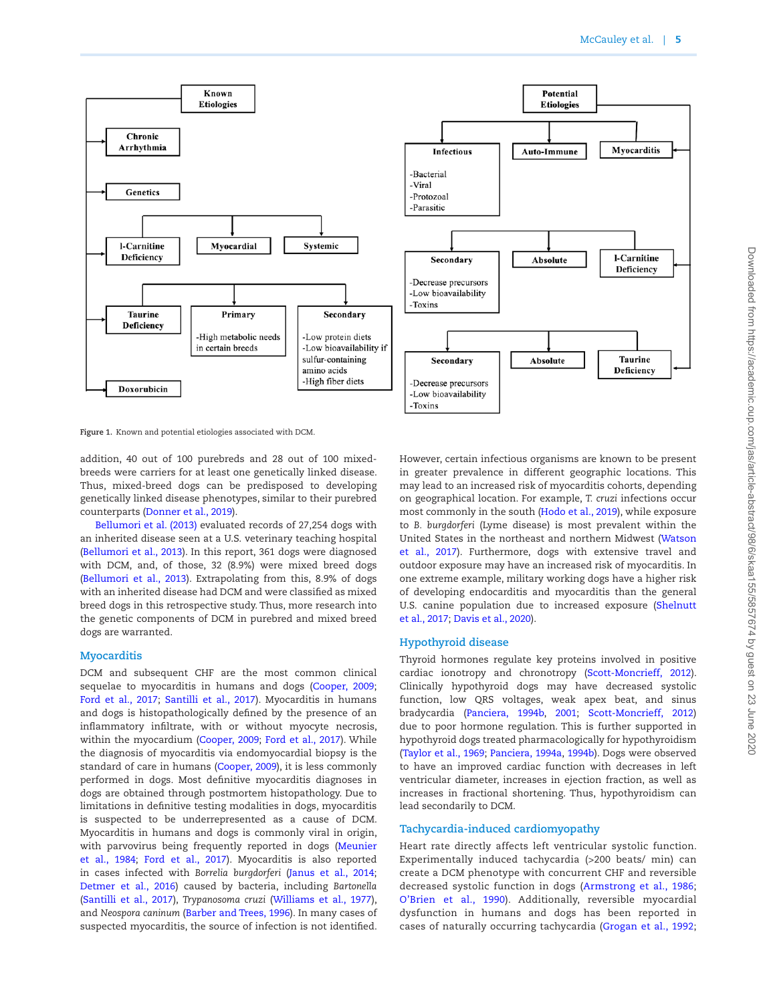

<span id="page-4-0"></span>**Figure 1.** Known and potential etiologies associated with DCM.

addition, 40 out of 100 purebreds and 28 out of 100 mixedbreeds were carriers for at least one genetically linked disease. Thus, mixed-breed dogs can be predisposed to developing genetically linked disease phenotypes, similar to their purebred counterparts (Donner et al., 2019).

Bellumori et al. (2013) evaluated records of 27,254 dogs with an inherited disease seen at a U.S. veterinary teaching hospital (Bellumori et al., 2013). In this report, 361 dogs were diagnosed with DCM, and, of those, 32 (8.9%) were mixed breed dogs (Bellumori et al., 2013). Extrapolating from this, 8.9% of dogs with an inherited disease had DCM and were classified as mixed breed dogs in this retrospective study. Thus, more research into the genetic components of DCM in purebred and mixed breed dogs are warranted.

## **Myocarditis**

DCM and subsequent CHF are the most common clinical sequelae to myocarditis in humans and dogs (Cooper, 2009; Ford et al., 2017; Santilli et al., 2017). Myocarditis in humans and dogs is histopathologically defined by the presence of an inflammatory infiltrate, with or without myocyte necrosis, within the myocardium (Cooper, 2009; Ford et al., 2017). While the diagnosis of myocarditis via endomyocardial biopsy is the standard of care in humans (Cooper, 2009), it is less commonly performed in dogs. Most definitive myocarditis diagnoses in dogs are obtained through postmortem histopathology. Due to limitations in definitive testing modalities in dogs, myocarditis is suspected to be underrepresented as a cause of DCM. Myocarditis in humans and dogs is commonly viral in origin, with parvovirus being frequently reported in dogs (Meunier et al., 1984; Ford et al., 2017). Myocarditis is also reported in cases infected with *Borrelia burgdorferi* (Janus et al., 2014; Detmer et al., 2016) caused by bacteria, including *Bartonella* (Santilli et al., 2017), *Trypanosoma cruzi* (Williams et al., 1977), and *Neospora caninum* (Barber and Trees, 1996). In many cases of suspected myocarditis, the source of infection is not identified.

However, certain infectious organisms are known to be present in greater prevalence in different geographic locations. This may lead to an increased risk of myocarditis cohorts, depending on geographical location. For example, *T. cruzi* infections occur most commonly in the south (Hodo et al., 2019), while exposure to *B. burgdorferi* (Lyme disease) is most prevalent within the United States in the northeast and northern Midwest (Watson et al., 2017). Furthermore, dogs with extensive travel and outdoor exposure may have an increased risk of myocarditis. In one extreme example, military working dogs have a higher risk of developing endocarditis and myocarditis than the general U.S. canine population due to increased exposure (Shelnutt et al., 2017; Davis et al., 2020).

## **Hypothyroid disease**

Thyroid hormones regulate key proteins involved in positive cardiac ionotropy and chronotropy (Scott-Moncrieff, 2012). Clinically hypothyroid dogs may have decreased systolic function, low QRS voltages, weak apex beat, and sinus bradycardia (Panciera, 1994b, 2001; Scott-Moncrieff, 2012) due to poor hormone regulation. This is further supported in hypothyroid dogs treated pharmacologically for hypothyroidism (Taylor et al., 1969; Panciera, 1994a, 1994b). Dogs were observed to have an improved cardiac function with decreases in left ventricular diameter, increases in ejection fraction, as well as increases in fractional shortening. Thus, hypothyroidism can lead secondarily to DCM.

## **Tachycardia-induced cardiomyopathy**

Heart rate directly affects left ventricular systolic function. Experimentally induced tachycardia (>200 beats/ min) can create a DCM phenotype with concurrent CHF and reversible decreased systolic function in dogs (Armstrong et al., 1986; O'Brien et al., 1990). Additionally, reversible myocardial dysfunction in humans and dogs has been reported in cases of naturally occurring tachycardia (Grogan et al., 1992;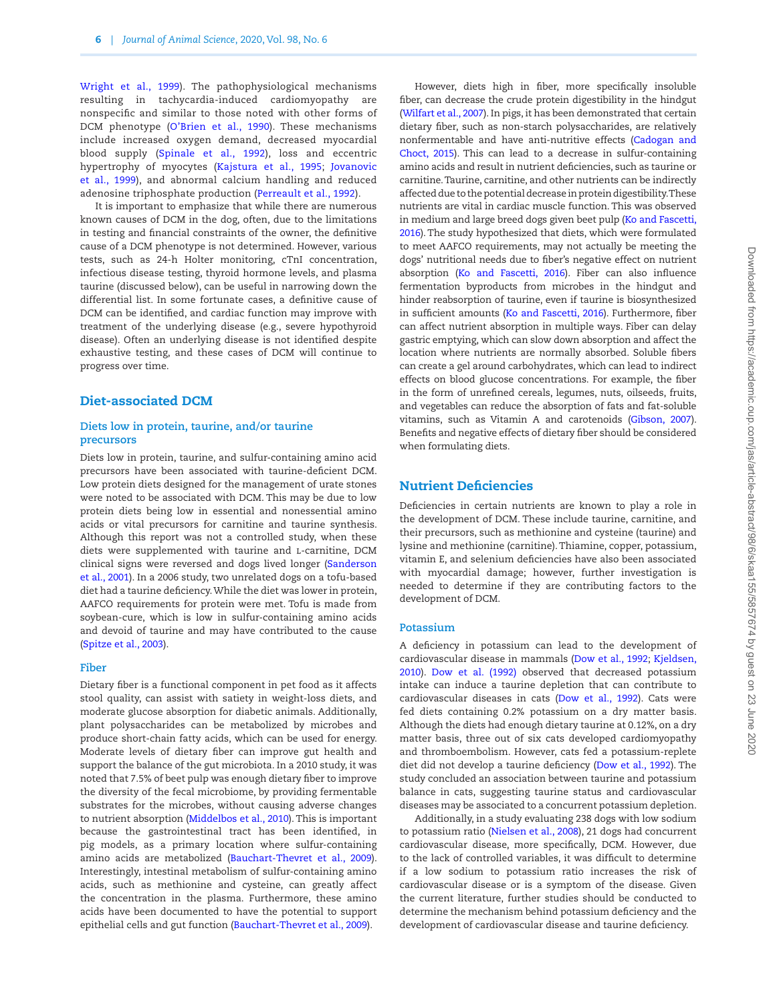Wright et al., 1999). The pathophysiological mechanisms resulting in tachycardia-induced cardiomyopathy are nonspecific and similar to those noted with other forms of DCM phenotype (O'Brien et al., 1990). These mechanisms include increased oxygen demand, decreased myocardial blood supply (Spinale et al., 1992), loss and eccentric hypertrophy of myocytes (Kajstura et al., 1[995;](#page-16-1) Jovanovic et al., 1999), and abnormal calcium handling and reduced adenosine triphosphate production (Perreault et al., 1992).

It is important to emphasize that while there are numerous known causes of DCM in the dog, often, due to the limitations in testing and financial constraints of the owner, the definitive cause of a DCM phenotype is not determined. However, various tests, such as 24-h Holter monitoring, cTnI concentration, infectious disease testing, thyroid hormone levels, and plasma taurine (discussed below), can be useful in narrowing down the differential list. In some fortunate cases, a definitive cause of DCM can be identified, and cardiac function may improve with treatment of the underlying disease (e.g., severe hypothyroid disease). Often an underlying disease is not identified despite exhaustive testing, and these cases of DCM will continue to progress over time.

## Diet-associated DCM

## **Diets low in protein, taurine, and/or taurine precursors**

Diets low in protein, taurine, and sulfur-containing amino acid precursors have been associated with taurine-deficient DCM. Low protein diets designed for the management of urate stones were noted to be associated with DCM. This may be due to low protein diets being low in essential and nonessential amino acids or vital precursors for carnitine and taurine synthesis. Although this report was not a controlled study, when these diets were supplemented with taurine and L-carnitine, DCM clinical signs were reversed and dogs lived longer (Sanderson et al., 2001). In a 2006 study, two unrelated dogs on a tofu-based diet had a taurine deficiency. While the diet was lower in protein, AAFCO requirements for protein were met. Tofu is made from soybean-cure, which is low in sulfur-containing amino acids and devoid of taurine and may have contributed to the cause (Spitze et al., 2003).

#### **Fiber**

Dietary fiber is a functional component in pet food as it affects stool quality, can assist with satiety in weight-loss diets, and moderate glucose absorption for diabetic animals. Additionally, plant polysaccharides can be metabolized by microbes and produce short-chain fatty acids, which can be used for energy. Moderate levels of dietary fiber can improve gut health and support the balance of the gut microbiota. In a 2010 study, it was noted that 7.5% of beet pulp was enough dietary fiber to improve the diversity of the fecal microbiome, by providing fermentable substrates for the microbes, without causing adverse changes to nutrient absorption (Middelbos et al., 2010). This is important because the gastrointestinal tract has been identified, in pig models, as a primary location where sulfur-containing amino acids are metabolized (Bauchart-Thevret et al., 2009). Interestingly, intestinal metabolism of sulfur-containing amino acids, such as methionine and cysteine, can greatly affect the concentration in the plasma. Furthermore, these amino acids have been documented to have the potential to support epithelial cells and gut function (Bauchart-Thevret et al., 2009).

fiber, can decrease the crude protein digestibility in the hindgut (Wilfart et al., 2007). In pigs, it has been demonstrated that certain dietary fiber, such as non-starch polysaccharides, are relatively nonfermentable and have anti-nutritive effects (Cadogan and Choct, 2015). This can lead to a decrease in sulfur-containing amino acids and result in nutrient deficiencies, such as taurine or carnitine. Taurine, carnitine, and other nutrients can be indirectly affected due to the potential decrease in protein digestibility. These nutrients are vital in cardiac muscle function. This was observed in medium and large breed dogs given beet pulp (Ko and Fascetti, 2016). The study hypothesized that diets, which were formulated to meet AAFCO requirements, may not actually be meeting the dogs' nutritional needs due to fiber's negative effect on nutrient absorption (Ko and Fascetti, 2016). Fiber can also influence fermentation byproducts from microbes in the hindgut and hinder reabsorption of taurine, even if taurine is biosynthesized

Downloaded from https://academic.oup.com/jas/article-abstract/98/6/skaa155/5857674 by guest on 23 June 2020 Downloaded from https://academic.oup.com/jas/article-abstract/98/6/skaa155/5857674 by guest on 23 June 2020

in sufficient amounts (Ko and Fascetti, 2016). Furthermore, fiber can affect nutrient absorption in multiple ways. Fiber can delay gastric emptying, which can slow down absorption and affect the location where nutrients are normally absorbed. Soluble fibers can create a gel around carbohydrates, which can lead to indirect effects on blood glucose concentrations. For example, the fiber in the form of unrefined cereals, legumes, nuts, oilseeds, fruits, and vegetables can reduce the absorption of fats and fat-soluble vitamins, such as Vitamin A and carotenoids (Gibson, 2007). Benefits and negative effects of dietary fiber should be considered when formulating diets. Nutrient Deficiencies Deficiencies in certain nutrients are known to play a role in the development of DCM. These include taurine, carnitine, and their precursors, such as methionine and cysteine (taurine) and lysine and methionine (carnitine). Thiamine, copper, potassium, vitamin E, and selenium deficiencies have also been associated with myocardial damage; however, further investigation is

However, diets high in fiber, more specifically insoluble

#### **Potassium**

development of DCM.

A deficiency in potassium can lead to the development of cardiovascular disease in mammals (Dow et al., 1992; Kjeldsen, 2010). Dow et al. (1992) observed that decreased potassium intake can induce a taurine depletion that can contribute to cardiovascular diseases in cats (Dow et al., 1992). Cats were fed diets containing 0.2% potassium on a dry matter basis. Although the diets had enough dietary taurine at 0.12%, on a dry matter basis, three out of six cats developed cardiomyopathy and thromboembolism. However, cats fed a potassium-replete diet did not develop a taurine deficiency (Dow et al., 1992). The study concluded an association between taurine and potassium balance in cats, suggesting taurine status and cardiovascular diseases may be associated to a concurrent potassium depletion.

needed to determine if they are contributing factors to the

Additionally, in a study evaluating 238 dogs with low sodium to potassium ratio (Nielsen et al., 2008), 21 dogs had concurrent cardiovascular disease, more specifically, DCM. However, due to the lack of controlled variables, it was difficult to determine if a low sodium to potassium ratio increases the risk of cardiovascular disease or is a symptom of the disease. Given the current literature, further studies should be conducted to determine the mechanism behind potassium deficiency and the development of cardiovascular disease and taurine deficiency.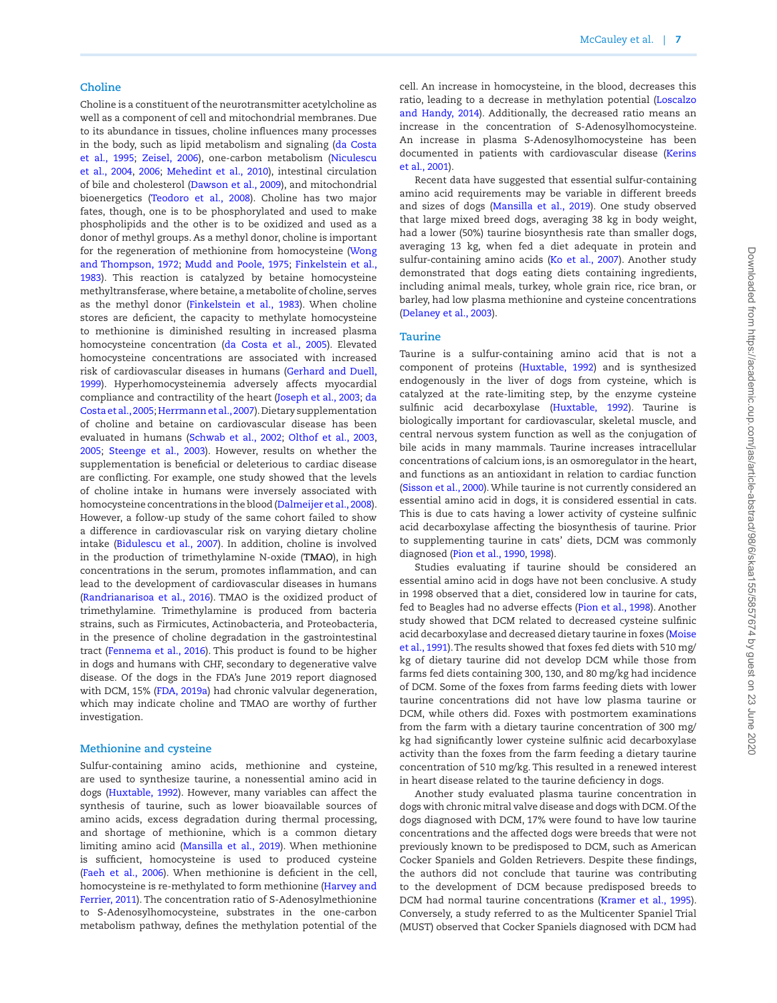#### **Choline**

Choline is a constituent of the neurotransmitter acetylcholine as well as a component of cell and mitochondrial membranes. Due to its abundance in tissues, choline influences many processes in the body, such as lipid metabolism and signaling (da Costa et al., 1995; Zeisel, 2006), one-carbon metabolism (Niculescu et al., 2004, 2006; Mehedint et al., 2010), intestinal circulation of bile and cholesterol (Dawson et al., 2009), and mitochondrial bioenergetics (Teodoro et al., 2008). Choline has two major fates, though, one is to be phosphorylated and used to make phospholipids and the other is to be oxidized and used as a donor of methyl groups. As a methyl donor, choline is important for the regeneration of methionine from homocysteine (Wong and Thompson, 1972; Mudd and Poole, 1975; Finkelstein et al., 1983). This reaction is catalyzed by betaine homocysteine methyltransferase, where betaine, a metabolite of choline, serves as the methyl donor (Finkelstein et al., 1983). When choline stores are deficient, the capacity to methylate homocysteine to methionine is diminished resulting in increased plasma homocysteine concentration (da Costa et al., 2005). Elevated homocysteine concentrations are associated with increased risk of cardiovascular diseases in humans (Gerhard and Duell, 1999). Hyperhomocysteinemia adversely affects myocardial compliance and contractility of the heart (Joseph et al., 2003; da Costa et al., 2005; Herrmann et al., 2007). Dietary supplementation of choline and betaine on cardiovascular disease has been evaluated in humans (Schwab et al., 2002; Olthof et al., 2003, 2005; Steenge et al., 2003). However, results on whether the supplementation is beneficial or deleterious to cardiac disease are conflicting. For example, one study showed that the levels of choline intake in humans were inversely associated with homocysteine concentrations in the blood (Dalmeijer et al., 2008). However, a follow-up study of the same cohort failed to show a difference in cardiovascular risk on varying dietary choline intake (Bidulescu et al., [200](#page-13-0)7). In addition, choline is involved in the production of trimethylamine N-oxide (**TMAO**), in high concentrations in the serum, promotes inflammation, and can lead to the development of cardiovascular diseases in humans (Randrianarisoa et al., 2016). TMAO is the oxidized product of trimethylamine. Trimethylamine is produced from bacteria strains, such as Firmicutes, Actinobacteria, and Proteobacteria, in the presence of choline degradation in the gastrointestinal tract (Fennema et al., 2016). This product is found to be higher in dogs and humans with CHF, secondary to degenerative valve disease. Of the dogs in the FDA's June 2019 report diagnosed with DCM, 15% (FDA, 2019a) had chronic valvular degeneration, which may indicate choline and TMAO are worthy of further investigation.

#### **Methionine and cysteine**

Sulfur-containing amino acids, methionine and cysteine, are used to synthesize taurine, a nonessential amino acid in dogs (Huxtable, 1992). However, many variables can affect the synthesis of taurine, such as lower bioavailable sources of amino acids, excess degradation during thermal processing, and shortage of methionine, which is a common dietary limiting amino acid (Mansilla et al., 2019). When methionine is sufficient, homocysteine is used to produced cysteine (Faeh et al., 2006). When methionine is deficient in the cell, homocysteine is re-methylated to form methionine (Harvey and Ferrier, 2011). The concentration ratio of S-Adenosylmethionine to S-Adenosylhomocysteine, substrates in the one-carbon metabolism pathway, defines the methylation potential of the

cell. An increase in homocysteine, in the blood, decreases this ratio, leading to a decrease in methylation potential (Loscalzo and Handy, 2014). Additionally, the decreased ratio means an increase in the concentration of S-Adenosylhomocysteine. An increase in plasma S-Adenosylhomocysteine has been documented in patients with cardiovascular disease (Kerins et al., 2001).

Recent data have suggested that essential sulfur-containing amino acid requirements may be variable in different breeds and sizes of dogs (Mansilla et al., 2019). One study observed that large mixed breed dogs, averaging 38 kg in body weight, had a lower (50%) taurine biosynthesis rate than smaller dogs, averaging 13 kg, when fed a diet adequate in protein and sulfur-containing amino acids (Ko et al., 2007). Another study demonstrated that dogs eating diets containing ingredients, including animal meals, turkey, whole grain rice, rice bran, or barley, had low plasma methionine and cysteine concentrations (Delaney et al., 2003).

## **Taurine**

Taurine is a sulfur-containing amino acid that is not a component of proteins (Huxtable, 1992) and is synthesized endogenously in the liver of dogs from cysteine, which is catalyzed at the rate-limiting step, by the enzyme cysteine sulfinic acid decarboxylase (Huxtable, 1992). Taurine is biologically important for cardiovascular, skeletal muscle, and central nervous system function as well as the conjugation of bile acids in many mammals. Taurine increases intracellular concentrations of calcium ions, is an osmoregulator in the heart, and functions as an antioxidant in relation to cardiac function (Sisson et al., 2000). While taurine is not currently considered an essential amino acid in dogs, it is considered essential in cats. This is due to cats having a lower activity of cysteine sulfinic acid decarboxylase affecting the biosynthesis of taurine. Prior to supplementing taurine in cats' diets, DCM was commonly diagnosed (Pion et al., 1990, 1998).

Studies evaluating if taurine should be considered an essential amino acid in dogs have not been conclusive. A study in 1998 observed that a diet, considered low in taurine for cats, fed to Beagles had no adverse effects (Pion et al., 1998). Another study showed that DCM related to decreased cysteine sulfinic acid decarboxylase and decreased dietary taurine in foxes (Moise et al., 1991). The results showed that foxes fed diets with 510 mg/ kg of dietary taurine did not develop DCM while those from farms fed diets containing 300, 130, and 80 mg/kg had incidence of DCM. Some of the foxes from farms feeding diets with lower taurine concentrations did not have low plasma taurine or DCM, while others did. Foxes with postmortem examinations from the farm with a dietary taurine concentration of 300 mg/ kg had significantly lower cysteine sulfinic acid decarboxylase activity than the foxes from the farm feeding a dietary taurine concentration of 510 mg/kg. This resulted in a renewed interest in heart disease related to the taurine deficiency in dogs.

Another study evaluated plasma taurine concentration in dogs with chronic mitral valve disease and dogs with DCM. Of the dogs diagnosed with DCM, 17% were found to have low taurine concentrations and the affected dogs were breeds that were not previously known to be predisposed to DCM, such as American Cocker Spaniels and Golden Retrievers. Despite these findings, the authors did not conclude that taurine was contributing to the development of DCM because predisposed breeds to DCM had normal taurine concentrations (Kramer et al., 1995). Conversely, a study referred to as the Multicenter Spaniel Trial (MUST) observed that Cocker Spaniels diagnosed with DCM had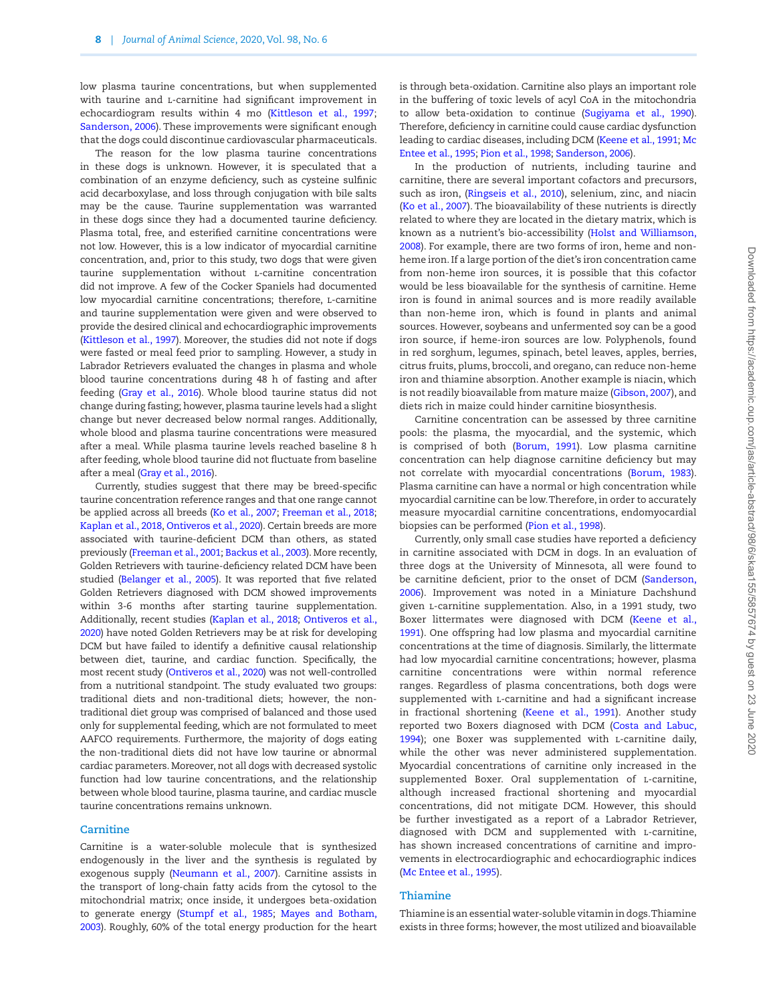low plasma taurine concentrations, but when supplemented with taurine and *L*-carnitine had significant improvement in echocardiogram results within 4 mo (Kittleson et al., 1997; Sanderson, 2006). These improvements were significant enough that the dogs could discontinue cardiovascular pharmaceuticals.

The reason for the low plasma taurine concentrations in these dogs is unknown. However, it is speculated that a combination of an enzyme deficiency, such as cysteine sulfinic acid decarboxylase, and loss through conjugation with bile salts may be the cause. Taurine supplementation was warranted in these dogs since they had a documented taurine deficiency. Plasma total, free, and esterified carnitine concentrations were not low. However, this is a low indicator of myocardial carnitine concentration, and, prior to this study, two dogs that were given taurine supplementation without l-carnitine concentration did not improve. A few of the Cocker Spaniels had documented low myocardial carnitine concentrations; therefore, L-carnitine and taurine supplementation were given and were observed to provide the desired clinical and echocardiographic improvements (Kittleson et al., 1997). Moreover, the studies did not note if dogs were fasted or meal feed prior to sampling. However, a study in Labrador Retrievers evaluated the changes in plasma and whole blood taurine concentrations during 48 h of fasting and after feeding (Gray et al., 2016). Whole blood taurine status did not change during fasting; however, plasma taurine levels had a slight change but never decreased below normal ranges. Additionally, whole blood and plasma taurine concentrations were measured after a meal. While plasma taurine levels reached baseline 8 h after feeding, whole blood taurine did not fluctuate from baseline after a meal (Gray et al., 2016).

Currently, studies suggest that there may be breed-specific taurine concentration reference ranges and that one range cannot be applied across all breeds (Ko et al., 2007; Freeman et al., 2018; Kaplan et al., 2018, Ontiveros et al., 2020). Certain breeds are more associated with taurine-deficient DCM than others, as stated previously (Freeman et al., 2001; Backus et al., 2003). More recently, Golden Retrievers with taurine-deficiency related DCM have been studied (Belanger et al., 2005). It was reported that five related Golden Retrievers diagnosed with DCM showed improvements within 3-6 months after starting taurine supplementation. Additionally, recent studies (Kaplan et al., 2018; Ontiveros et al., 2020) have noted Golden Retrievers may be at risk for developing DCM but have failed to identify a definitive causal relationship between diet, taurine, and cardiac function. Specifically, the most recent study (Ontiveros et al., 2020) was not well-controlled from a nutritional standpoint. The study evaluated two groups: traditional diets and non-traditional diets; however, the nontraditional diet group was comprised of balanced and those used only for supplemental feeding, which are not formulated to meet AAFCO requirements. Furthermore, the majority of dogs eating the non-traditional diets did not have low taurine or abnormal cardiac parameters. Moreover, not all dogs with decreased systolic function had low taurine concentrations, and the relationship between whole blood taurine, plasma taurine, and cardiac muscle taurine concentrations remains unknown.

#### **Carnitine**

Carnitine is a water-soluble molecule that is synthesized endogenously in the liver and the synthesis is regulated by exogenous supply (Neumann et al., 2007). Carnitine assists in the transport of long-chain fatty acids from the cytosol to the mitochondrial matrix; once inside, it undergoes beta-oxidation to generate energy (Stumpf et al., 1985; Mayes and Botham, 2003). Roughly, 60% of the total energy production for the heart is through beta-oxidation. Carnitine also plays an important role in the buffering of toxic levels of acyl CoA in the mitochondria to allow beta-oxidation to continue (Sugiyama et al., 1990). Therefore, deficiency in carnitine could cause cardiac dysfunction leading to cardiac diseases, including DCM (Keene et al., [199](#page-16-0)1; Mc Entee et al., 1995; Pion et al., 1998; Sanderson, 2006).

In the production of nutrients, including taurine and carnitine, there are several important cofactors and precursors, such as iron, (Ringseis et al., 2010), selenium, zinc, and niacin (Ko et al., 2007). The bioavailability of these nutrients is directly related to where they are located in the dietary matrix, which is known as a nutrient's bio-accessibility (Holst and Williamson, 2008). For example, there are two forms of iron, heme and nonheme iron. If a large portion of the diet's iron concentration came from non-heme iron sources, it is possible that this cofactor would be less bioavailable for the synthesis of carnitine. Heme iron is found in animal sources and is more readily available than non-heme iron, which is found in plants and animal sources. However, soybeans and unfermented soy can be a good iron source, if heme-iron sources are low. Polyphenols, found in red sorghum, legumes, spinach, betel leaves, apples, berries, citrus fruits, plums, broccoli, and oregano, can reduce non-heme iron and thiamine absorption. Another example is niacin, which is not readily bioavailable from mature maize (Gibson, 2007), and diets rich in maize could hinder carnitine biosynthesis.

Carnitine concentration can be assessed by three carnitine pools: the plasma, the myocardial, and the systemic, which is comprised of both (Borum, 1991). Low plasma carnitine concentration can help diagnose carnitine deficiency but may not correlate with myocardial concentrations (Borum, 1983). Plasma carnitine can have a normal or high concentration while myocardial carnitine can be low. Therefore, in order to accurately measure myocardial carnitine concentrations, endomyocardial biopsies can be performed (Pion et al., 1998).

Currently, only small case studies have reported a deficiency in carnitine associated with DCM in dogs. In an evaluation of three dogs at the University of Minnesota, all were found to be carnitine deficient, prior to the onset of DCM (Sanderson, 2006). Improvement was noted in a Miniature Dachshund given l-carnitine supplementation. Also, in a 1991 study, two Boxer littermates were diagnosed with DCM (Keene et al., [1991](#page-16-0)). One offspring had low plasma and myocardial carnitine concentrations at the time of diagnosis. Similarly, the littermate had low myocardial carnitine concentrations; however, plasma carnitine concentrations were within normal reference ranges. Regardless of plasma concentrations, both dogs were supplemented with L-carnitine and had a significant increase in fractional shortening (Keene et al., 1[99](#page-16-0)1). Another study reported two Boxers diagnosed with DCM (Costa and Labuc, 1994); one Boxer was supplemented with L-carnitine daily, while the other was never administered supplementation. Myocardial concentrations of carnitine only increased in the supplemented Boxer. Oral supplementation of L-carnitine, although increased fractional shortening and myocardial concentrations, did not mitigate DCM. However, this should be further investigated as a report of a Labrador Retriever, diagnosed with DCM and supplemented with l-carnitine, has shown increased concentrations of carnitine and improvements in electrocardiographic and echocardiographic indices (Mc Entee et al., 1995).

#### **Thiamine**

Thiamine is an essential water-soluble vitamin in dogs. Thiamine exists in three forms; however, the most utilized and bioavailable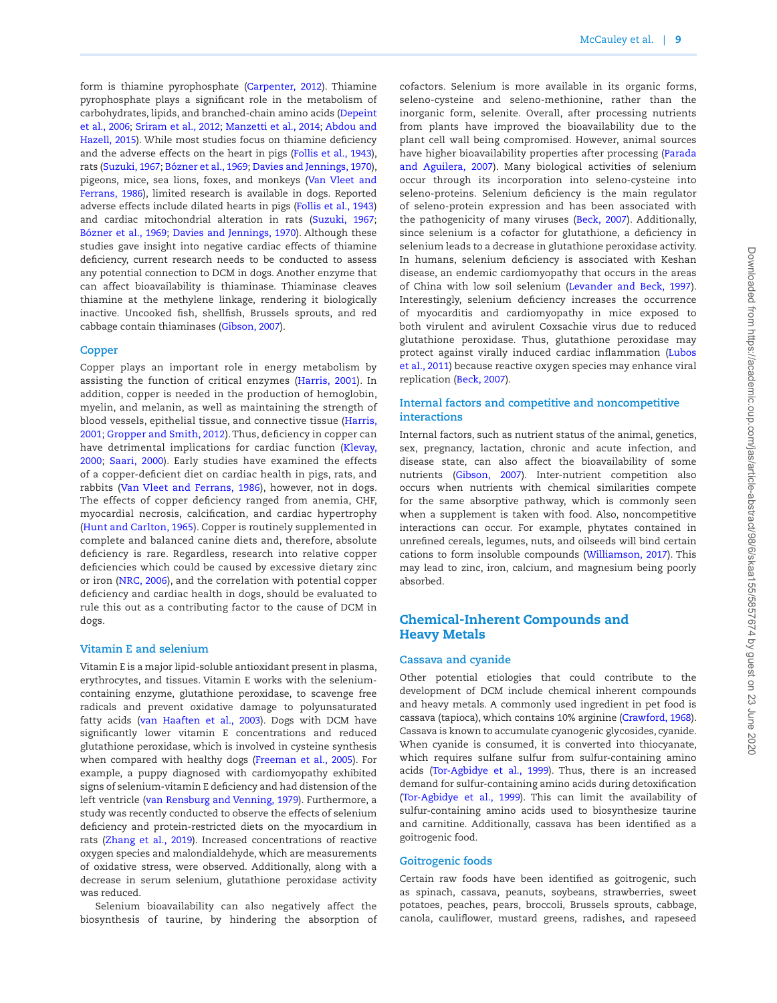form is thiamine pyrophosphate (Carpenter, 2012). Thiamine pyrophosphate plays a significant role in the metabolism of carbohydrates, lipids, and branched-chain amino acids (Depeint et al., 2006; Sriram et al., 2012; Manzetti et al., 2014; Abdou and Hazell, 2[01](#page-13-1)5). While most studies focus on thiamine deficiency and the adverse effects on the heart in pigs (Follis et al., 1943), rats (Suzuki, [196](#page-18-0)7; Bózner et al., 1969; Davies and Jennings, 1970), pigeons, mice, sea lions, foxes, and monkeys (Van Vleet and Ferrans, 1986), limited research is available in dogs. Reported adverse effects include dilated hearts in pigs (Follis et al., 1943) and cardiac mitochondrial alteration in rats (Suzuki, [1967](#page-18-0); Bózner et al., 1969; Davies and Jennings, 1970). Although these studies gave insight into negative cardiac effects of thiamine deficiency, current research needs to be conducted to assess any potential connection to DCM in dogs. Another enzyme that can affect bioavailability is thiaminase. Thiaminase cleaves thiamine at the methylene linkage, rendering it biologically inactive. Uncooked fish, shellfish, Brussels sprouts, and red cabbage contain thiaminases (Gibson, 2007).

## **Copper**

Copper plays an important role in energy metabolism by assisting the function of critical enzymes (Harris, 2001). In addition, copper is needed in the production of hemoglobin, myelin, and melanin, as well as maintaining the strength of blood vessels, epithelial tissue, and connective tissue (Harris, 2001; Gropper and Smith, 2012). Thus, deficiency in copper can have detrimental implications for cardiac function (Klevay, 2000; Saari, 2000). Early studies have examined the effects of a copper-deficient diet on cardiac health in pigs, rats, and rabbits (Van Vleet and Ferrans, 1986), however, not in dogs. The effects of copper deficiency ranged from anemia, CHF, myocardial necrosis, calcification, and cardiac hypertrophy (Hunt and Carlton, 1965). Copper is routinely supplemented in complete and balanced canine diets and, therefore, absolute deficiency is rare. Regardless, research into relative copper deficiencies which could be caused by excessive dietary zinc or iron (NRC, 2006), and the correlation with potential copper deficiency and cardiac health in dogs, should be evaluated to rule this out as a contributing factor to the cause of DCM in dogs.

#### **Vitamin E and selenium**

Vitamin E is a major lipid-soluble antioxidant present in plasma, erythrocytes, and tissues. Vitamin E works with the seleniumcontaining enzyme, glutathione peroxidase, to scavenge free radicals and prevent oxidative damage to polyunsaturated fatty acids (van Haaften et al., 2003). Dogs with DCM have significantly lower vitamin E concentrations and reduced glutathione peroxidase, which is involved in cysteine synthesis when compared with healthy dogs (Freeman et al., 2005). For example, a puppy diagnosed with cardiomyopathy exhibited signs of selenium-vitamin E deficiency and had distension of the left ventricle (van Rensburg and Venning, 1979). Furthermore, a study was recently conducted to observe the effects of selenium deficiency and protein-restricted diets on the myocardium in rats (Zhang et al., 2019). Increased concentrations of reactive oxygen species and malondialdehyde, which are measurements of oxidative stress, were observed. Additionally, along with a decrease in serum selenium, glutathione peroxidase activity was reduced.

Selenium bioavailability can also negatively affect the biosynthesis of taurine, by hindering the absorption of cofactors. Selenium is more available in its organic forms, seleno-cysteine and seleno-methionine, rather than the inorganic form, selenite. Overall, after processing nutrients from plants have improved the bioavailability due to the plant cell wall being compromised. However, animal sources have higher bioavailability properties after processing (Parada and Aguilera, 2007). Many biological activities of selenium occur through its incorporation into seleno-cysteine into seleno-proteins. Selenium deficiency is the main regulator of seleno-protein expression and has been associated with the pathogenicity of many viruses (Beck, 2007). Additionally, since selenium is a cofactor for glutathione, a deficiency in selenium leads to a decrease in glutathione peroxidase activity. In humans, selenium deficiency is associated with Keshan disease, an endemic cardiomyopathy that occurs in the areas of China with low soil selenium (Levander and Beck, 1997). Interestingly, selenium deficiency increases the occurrence of myocarditis and cardiomyopathy in mice exposed to both virulent and avirulent Coxsachie virus due to reduced glutathione peroxidase. Thus, glutathione peroxidase may protect against virally induced cardiac inflammation (Lubos et al., 2011) because reactive oxygen species may enhance viral replication (Beck, 2007).

## **Internal factors and competitive and noncompetitive interactions**

Internal factors, such as nutrient status of the animal, genetics, sex, pregnancy, lactation, chronic and acute infection, and disease state, can also affect the bioavailability of some nutrients (Gibson, 2007). Inter-nutrient competition also occurs when nutrients with chemical similarities compete for the same absorptive pathway, which is commonly seen when a supplement is taken with food. Also, noncompetitive interactions can occur. For example, phytates contained in unrefined cereals, legumes, nuts, and oilseeds will bind certain cations to form insoluble compounds (Williamson, 2017). This may lead to zinc, iron, calcium, and magnesium being poorly absorbed.

## Chemical-Inherent Compounds and Heavy Metals

#### **Cassava and cyanide**

Other potential etiologies that could contribute to the development of DCM include chemical inherent compounds and heavy metals. A commonly used ingredient in pet food is cassava (tapioca), which contains 10% arginine (Crawford, 1968). Cassava is known to accumulate cyanogenic glycosides, cyanide. When cyanide is consumed, it is converted into thiocyanate, which requires sulfane sulfur from sulfur-containing amino acids (Tor-Agbidye et al., 1999). Thus, there is an increased demand for sulfur-containing amino acids during detoxification (Tor-Agbidye et al., 1999). This can limit the availability of sulfur-containing amino acids used to biosynthesize taurine and carnitine. Additionally, cassava has been identified as a goitrogenic food.

#### **Goitrogenic foods**

Certain raw foods have been identified as goitrogenic, such as spinach, cassava, peanuts, soybeans, strawberries, sweet potatoes, peaches, pears, broccoli, Brussels sprouts, cabbage, canola, cauliflower, mustard greens, radishes, and rapeseed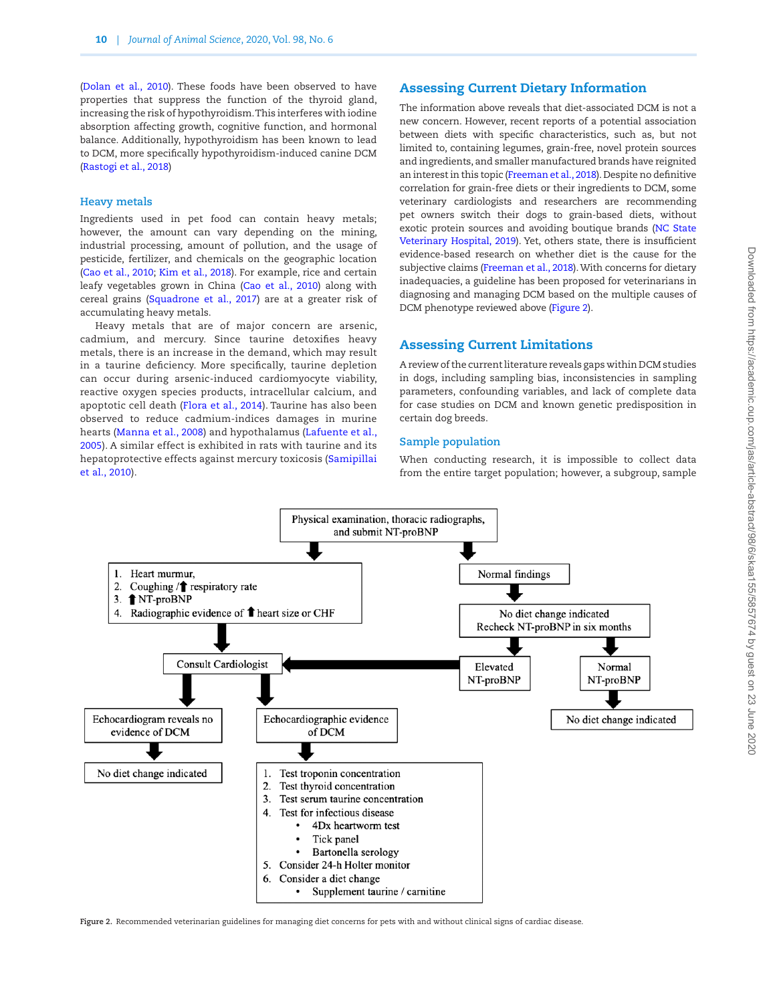(Dolan et al., 2010). These foods have been observed to have properties that suppress the function of the thyroid gland, increasing the risk of hypothyroidism. This interferes with iodine absorption affecting growth, cognitive function, and hormonal balance. Additionally, hypothyroidism has been known to lead to DCM, more specifically hypothyroidism-induced canine DCM (Rastogi et al., 2018)

#### **Heavy metals**

Ingredients used in pet food can contain heavy metals; however, the amount can vary depending on the mining, industrial processing, amount of pollution, and the usage of pesticide, fertilizer, and chemicals on the geographic location (Cao et al., 2010; Kim et al., 2018). For example, rice and certain leafy vegetables grown in China (Cao et al., 2010) along with cereal grains (Squadrone et al., 2017) are at a greater risk of accumulating heavy metals.

Heavy metals that are of major concern are arsenic, cadmium, and mercury. Since taurine detoxifies heavy metals, there is an increase in the demand, which may result in a taurine deficiency. More specifically, taurine depletion can occur during arsenic-induced cardiomyocyte viability, reactive oxygen species products, intracellular calcium, and apoptotic cell death (Flora et al., 2014). Taurine has also been observed to reduce cadmium-indices damages in murine hearts (Manna et al., 2008) and hypothalamus (Lafuente et al., 2005). A similar effect is exhibited in rats with taurine and its hepatoprotective effects against mercury toxicosis (Samipillai et al., 2010).

## Assessing Current Dietary Information

The information above reveals that diet-associated DCM is not a new concern. However, recent reports of a potential association between diets with specific characteristics, such as, but not limited to, containing legumes, grain-free, novel protein sources and ingredients, and smaller manufactured brands have reignited an interest in this topic (Freeman et al., 2018). Despite no definitive correlation for grain-free diets or their ingredients to DCM, some veterinary cardiologists and researchers are recommending pet owners switch their dogs to grain-based diets, without exotic protein sources and avoiding boutique brands (NC State Veterinary Hospital, 2019). Yet, others state, there is insufficient evidence-based research on whether diet is the cause for the subjective claims (Freeman et al., 2018). With concerns for dietary inadequacies, a guideline has been proposed for veterinarians in diagnosing and managing DCM based on the multiple causes of DCM phenotype reviewed above [\(Figure 2](#page-9-0)).

## Assessing Current Limitations

A review of the current literature reveals gaps within DCM studies in dogs, including sampling bias, inconsistencies in sampling parameters, confounding variables, and lack of complete data for case studies on DCM and known genetic predisposition in certain dog breeds.

## **Sample population**

When conducting research, it is impossible to collect data from the entire target population; however, a subgroup, sample



<span id="page-9-0"></span>**Figure 2.** Recommended veterinarian guidelines for managing diet concerns for pets with and without clinical signs of cardiac disease.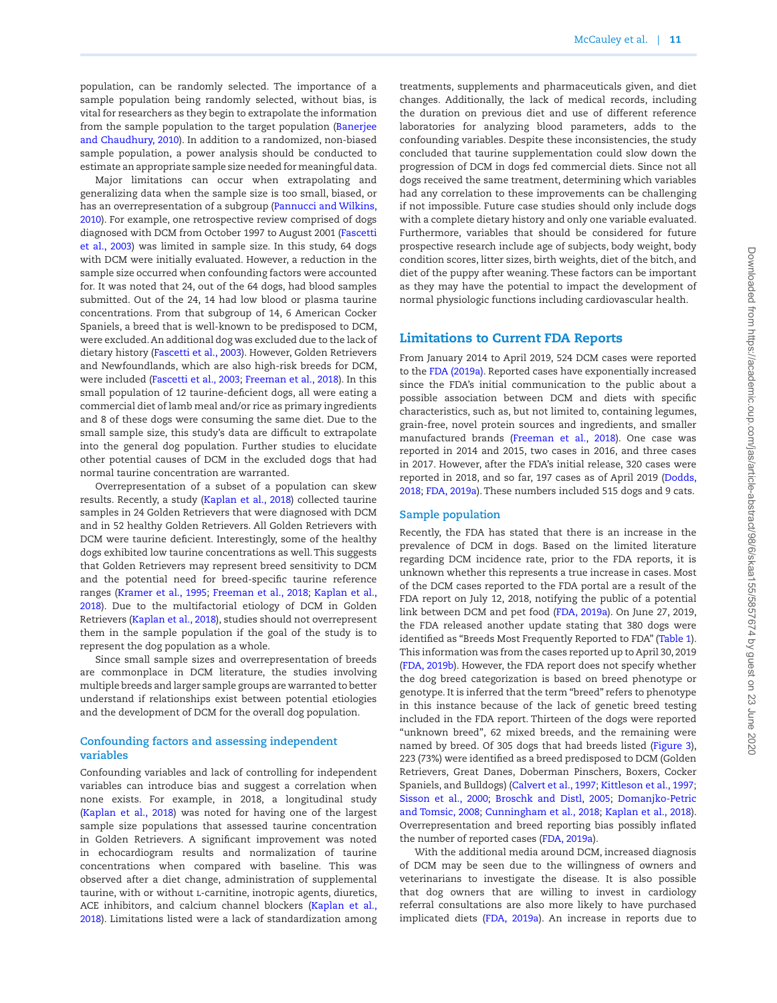population, can be randomly selected. The importance of a sample population being randomly selected, without bias, is vital for researchers as they begin to extrapolate the information from the sample population to the target population (Banerjee and Chaudhury, 2010). In addition to a randomized, non-biased sample population, a power analysis should be conducted to estimate an appropriate sample size needed for meaningful data.

Major limitations can occur when extrapolating and generalizing data when the sample size is too small, biased, or has an overrepresentation of a subgroup (Pannucci and Wilkins, 2010). For example, one retrospective review comprised of dogs diagnosed with DCM from October 1997 to August 2001 (Fascetti et al., 2003) was limited in sample size. In this study, 64 dogs with DCM were initially evaluated. However, a reduction in the sample size occurred when confounding factors were accounted for. It was noted that 24, out of the 64 dogs, had blood samples submitted. Out of the 24, 14 had low blood or plasma taurine concentrations. From that subgroup of 14, 6 American Cocker Spaniels, a breed that is well-known to be predisposed to DCM, were excluded. An additional dog was excluded due to the lack of dietary history (Fascetti et al., 2003). However, Golden Retrievers and Newfoundlands, which are also high-risk breeds for DCM, were included (Fascetti et al., 2003; Freeman et al., 2018). In this small population of 12 taurine-deficient dogs, all were eating a commercial diet of lamb meal and/or rice as primary ingredients and 8 of these dogs were consuming the same diet. Due to the small sample size, this study's data are difficult to extrapolate into the general dog population. Further studies to elucidate other potential causes of DCM in the excluded dogs that had normal taurine concentration are warranted.

Overrepresentation of a subset of a population can skew results. Recently, a study (Kaplan et al., 2018) collected taurine samples in 24 Golden Retrievers that were diagnosed with DCM and in 52 healthy Golden Retrievers. All Golden Retrievers with DCM were taurine deficient. Interestingly, some of the healthy dogs exhibited low taurine concentrations as well. This suggests that Golden Retrievers may represent breed sensitivity to DCM and the potential need for breed-specific taurine reference ranges (Kramer et al., 1995; Freeman et al., 2018; Kaplan et al., 2018). Due to the multifactorial etiology of DCM in Golden Retrievers (Kaplan et al., 2018), studies should not overrepresent them in the sample population if the goal of the study is to represent the dog population as a whole.

Since small sample sizes and overrepresentation of breeds are commonplace in DCM literature, the studies involving multiple breeds and larger sample groups are warranted to better understand if relationships exist between potential etiologies and the development of DCM for the overall dog population.

## **Confounding factors and assessing independent variables**

Confounding variables and lack of controlling for independent variables can introduce bias and suggest a correlation when none exists. For example, in 2018, a longitudinal study (Kaplan et al., 2018) was noted for having one of the largest sample size populations that assessed taurine concentration in Golden Retrievers. A significant improvement was noted in echocardiogram results and normalization of taurine concentrations when compared with baseline. This was observed after a diet change, administration of supplemental taurine, with or without l-carnitine, inotropic agents, diuretics, ACE inhibitors, and calcium channel blockers (Kaplan et al., 2018). Limitations listed were a lack of standardization among

treatments, supplements and pharmaceuticals given, and diet changes. Additionally, the lack of medical records, including the duration on previous diet and use of different reference laboratories for analyzing blood parameters, adds to the confounding variables. Despite these inconsistencies, the study concluded that taurine supplementation could slow down the progression of DCM in dogs fed commercial diets. Since not all dogs received the same treatment, determining which variables had any correlation to these improvements can be challenging if not impossible. Future case studies should only include dogs with a complete dietary history and only one variable evaluated. Furthermore, variables that should be considered for future prospective research include age of subjects, body weight, body condition scores, litter sizes, birth weights, diet of the bitch, and diet of the puppy after weaning. These factors can be important as they may have the potential to impact the development of normal physiologic functions including cardiovascular health.

## Limitations to Current FDA Reports

From January 2014 to April 2019, 524 DCM cases were reported to the FDA (2019a). Reported cases have exponentially increased since the FDA's initial communication to the public about a possible association between DCM and diets with specific characteristics, such as, but not limited to, containing legumes, grain-free, novel protein sources and ingredients, and smaller manufactured brands (Freeman et al., 2018). One case was reported in 2014 and 2015, two cases in 2016, and three cases in 2017. However, after the FDA's initial release, 320 cases were reported in 2018, and so far, 197 cases as of April 2019 (Dodds, 2018; FDA, 2019a). These numbers included 515 dogs and 9 cats.

#### **Sample population**

Recently, the FDA has stated that there is an increase in the prevalence of DCM in dogs. Based on the limited literature regarding DCM incidence rate, prior to the FDA reports, it is unknown whether this represents a true increase in cases. Most of the DCM cases reported to the FDA portal are a result of the FDA report on July 12, 2018, notifying the public of a potential link between DCM and pet food (FDA, 2019a). On June 27, 2019, the FDA released another update stating that 380 dogs were identified as "Breeds Most Frequently Reported to FDA" [\(Table 1\)](#page-11-0). This information was from the cases reported up to April 30, 2019 (FDA, 2019b). However, the FDA report does not specify whether the dog breed categorization is based on breed phenotype or genotype. It is inferred that the term "breed" refers to phenotype in this instance because of the lack of genetic breed testing included in the FDA report. Thirteen of the dogs were reported "unknown breed", 62 mixed breeds, and the remaining were named by breed. Of 305 dogs that had breeds listed [\(Figure 3\)](#page-11-1), 223 (73%) were identified as a breed predisposed to DCM (Golden Retrievers, Great Danes, Doberman Pinschers, Boxers, Cocker Spaniels, and Bulldogs) (Calvert et al., 1997; Kittleson et al., 1997; Sisson et al., 2000; Broschk and Distl, 2005; Domanjko-Petric and Tomsic, 2008; Cunningham et al., 2018; Kaplan et al., 2018). Overrepresentation and breed reporting bias possibly inflated the number of reported cases (FDA, 2019a).

With the additional media around DCM, increased diagnosis of DCM may be seen due to the willingness of owners and veterinarians to investigate the disease. It is also possible that dog owners that are willing to invest in cardiology referral consultations are also more likely to have purchased implicated diets (FDA, 2019a). An increase in reports due to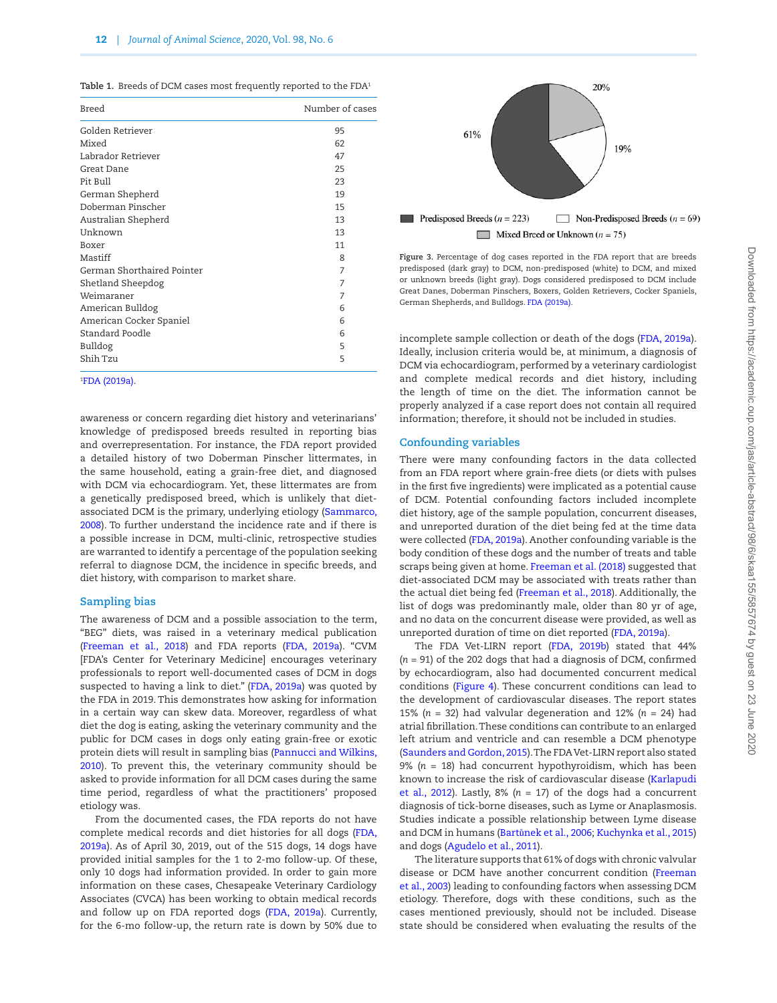<span id="page-11-0"></span>Table 1. Breeds of DCM cases most frequently reported to the FDA<sup>1</sup>

| Breed                      | Number of cases |
|----------------------------|-----------------|
| Golden Retriever           | 95              |
| Mixed                      | 62              |
| Labrador Retriever         | 47              |
| Great Dane                 | 25              |
| Pit Bull                   | 23              |
| German Shepherd            | 19              |
| Doberman Pinscher          | 15              |
| Australian Shepherd        | 13              |
| Unknown                    | 13              |
| Boxer                      | 11              |
| Mastiff                    | 8               |
| German Shorthaired Pointer | 7               |
| Shetland Sheepdog          | 7               |
| Weimaraner                 | 7               |
| American Bulldog           | 6               |
| American Cocker Spaniel    | 6               |
| Standard Poodle            | 6               |
| Bulldog                    | 5               |
| Shih Tzu                   | 5               |
|                            |                 |

#### 1 FDA (2019a).

awareness or concern regarding diet history and veterinarians' knowledge of predisposed breeds resulted in reporting bias and overrepresentation. For instance, the FDA report provided a detailed history of two Doberman Pinscher littermates, in the same household, eating a grain-free diet, and diagnosed with DCM via echocardiogram. Yet, these littermates are from a genetically predisposed breed, which is unlikely that dietassociated DCM is the primary, underlying etiology (Sammarco, 2008). To further understand the incidence rate and if there is a possible increase in DCM, multi-clinic, retrospective studies are warranted to identify a percentage of the population seeking referral to diagnose DCM, the incidence in specific breeds, and diet history, with comparison to market share.

## **Sampling bias**

The awareness of DCM and a possible association to the term, "BEG" diets, was raised in a veterinary medical publication (Freeman et al., 2018) and FDA reports (FDA, 2019a). "CVM [FDA's Center for Veterinary Medicine] encourages veterinary professionals to report well-documented cases of DCM in dogs suspected to having a link to diet." (FDA, 2019a) was quoted by the FDA in 2019. This demonstrates how asking for information in a certain way can skew data. Moreover, regardless of what diet the dog is eating, asking the veterinary community and the public for DCM cases in dogs only eating grain-free or exotic protein diets will result in sampling bias (Pannucci and Wilkins, 2010). To prevent this, the veterinary community should be asked to provide information for all DCM cases during the same time period, regardless of what the practitioners' proposed etiology was.

From the documented cases, the FDA reports do not have complete medical records and diet histories for all dogs (FDA, 2019a). As of April 30, 2019, out of the 515 dogs, 14 dogs have provided initial samples for the 1 to 2-mo follow-up. Of these, only 10 dogs had information provided. In order to gain more information on these cases, Chesapeake Veterinary Cardiology Associates (CVCA) has been working to obtain medical records and follow up on FDA reported dogs (FDA, 2019a). Currently, for the 6-mo follow-up, the return rate is down by 50% due to



<span id="page-11-1"></span>**Figure 3.** Percentage of dog cases reported in the FDA report that are breeds predisposed (dark gray) to DCM, non-predisposed (white) to DCM, and mixed or unknown breeds (light gray). Dogs considered predisposed to DCM include Great Danes, Doberman Pinschers, Boxers, Golden Retrievers, Cocker Spaniels, German Shepherds, and Bulldogs. FDA (2019a).

incomplete sample collection or death of the dogs (FDA, 2019a). Ideally, inclusion criteria would be, at minimum, a diagnosis of DCM via echocardiogram, performed by a veterinary cardiologist and complete medical records and diet history, including the length of time on the diet. The information cannot be properly analyzed if a case report does not contain all required information; therefore, it should not be included in studies.

#### **Confounding variables**

There were many confounding factors in the data collected from an FDA report where grain-free diets (or diets with pulses in the first five ingredients) were implicated as a potential cause of DCM. Potential confounding factors included incomplete diet history, age of the sample population, concurrent diseases, and unreported duration of the diet being fed at the time data were collected (FDA, 2019a). Another confounding variable is the body condition of these dogs and the number of treats and table scraps being given at home. Freeman et al. (2018) suggested that diet-associated DCM may be associated with treats rather than the actual diet being fed (Freeman et al., 2018). Additionally, the list of dogs was predominantly male, older than 80 yr of age, and no data on the concurrent disease were provided, as well as unreported duration of time on diet reported (FDA, 2019a).

The FDA Vet-LIRN report (FDA, 2019b) stated that 44% (*n* = 91) of the 202 dogs that had a diagnosis of DCM, confirmed by echocardiogram, also had documented concurrent medical conditions [\(Figure 4](#page-12-0)). These concurrent conditions can lead to the development of cardiovascular diseases. The report states 15% ( $n = 32$ ) had valvular degeneration and 12% ( $n = 24$ ) had atrial fibrillation. These conditions can contribute to an enlarged left atrium and ventricle and can resemble a DCM phenotype (Saunders and Gordon, 2015). The FDA Vet-LIRN report also stated 9% (*n* = 18) had concurrent hypothyroidism, which has been known to increase the risk of cardiovascular disease (Karlapudi et al., 2012). Lastly,  $8\%$  ( $n = 17$ ) of the dogs had a concurrent diagnosis of tick-borne diseases, such as Lyme or Anaplasmosis. Studies indicate a possible relationship between Lyme disease and DCM in humans (Bartůnek et al., 2006; Kuchynka et al., 2015) and dogs (Agudelo et al., 2011).

The literature supports that 61% of dogs with chronic valvular disease or DCM have another concurrent condition (Freeman et al., 2003) leading to confounding factors when assessing DCM etiology. Therefore, dogs with these conditions, such as the cases mentioned previously, should not be included. Disease state should be considered when evaluating the results of the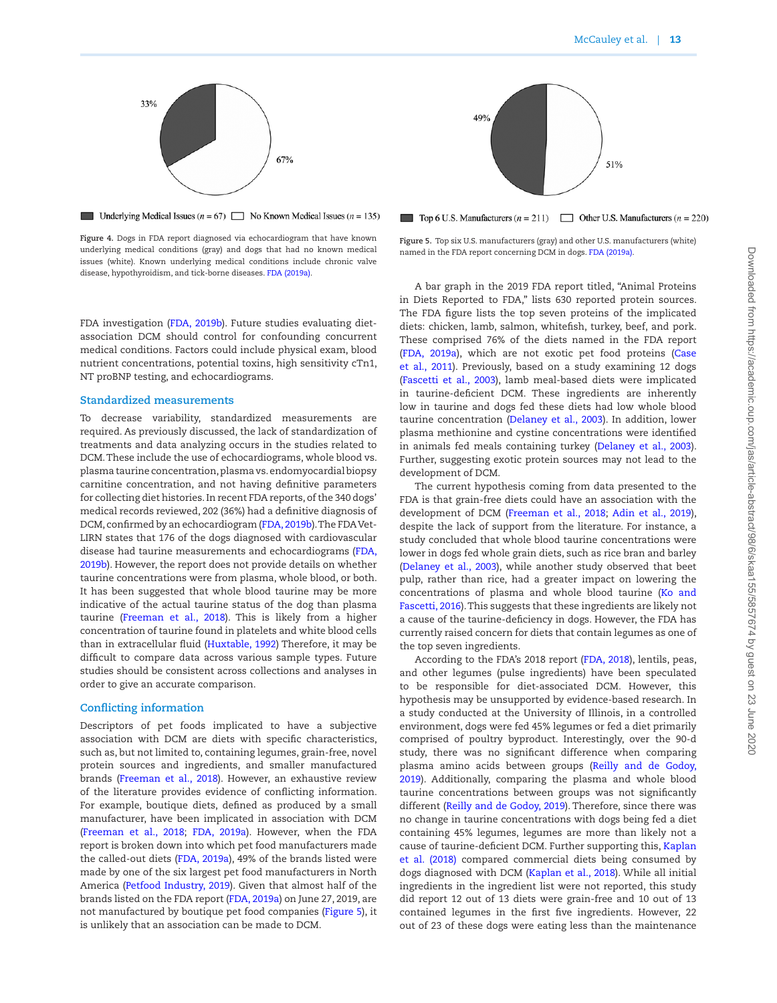

<span id="page-12-0"></span>**Underlying Medical Issues**  $(n = 67)$  No Known Medical Issues  $(n = 135)$ 

**Figure 4.** Dogs in FDA report diagnosed via echocardiogram that have known underlying medical conditions (gray) and dogs that had no known medical issues (white). Known underlying medical conditions include chronic valve disease, hypothyroidism, and tick-borne diseases. FDA (2019a).

FDA investigation (FDA, 2019b). Future studies evaluating dietassociation DCM should control for confounding concurrent medical conditions. Factors could include physical exam, blood nutrient concentrations, potential toxins, high sensitivity cTn1, NT proBNP testing, and echocardiograms.

#### **Standardized measurements**

To decrease variability, standardized measurements are required. As previously discussed, the lack of standardization of treatments and data analyzing occurs in the studies related to DCM. These include the use of echocardiograms, whole blood vs. plasma taurine concentration, plasma vs. endomyocardial biopsy carnitine concentration, and not having definitive parameters for collecting diet histories. In recent FDA reports, of the 340 dogs' medical records reviewed, 202 (36%) had a definitive diagnosis of DCM, confirmed by an echocardiogram (FDA, 2019b). The FDA Vet-LIRN states that 176 of the dogs diagnosed with cardiovascular disease had taurine measurements and echocardiograms (FDA, 2019b). However, the report does not provide details on whether taurine concentrations were from plasma, whole blood, or both. It has been suggested that whole blood taurine may be more indicative of the actual taurine status of the dog than plasma taurine (Freeman et al., 2018). This is likely from a higher concentration of taurine found in platelets and white blood cells than in extracellular fluid (Huxtable, 1992) Therefore, it may be difficult to compare data across various sample types. Future studies should be consistent across collections and analyses in order to give an accurate comparison.

#### **Conflicting information**

Descriptors of pet foods implicated to have a subjective association with DCM are diets with specific characteristics, such as, but not limited to, containing legumes, grain-free, novel protein sources and ingredients, and smaller manufactured brands (Freeman et al., 2018). However, an exhaustive review of the literature provides evidence of conflicting information. For example, boutique diets, defined as produced by a small manufacturer, have been implicated in association with DCM (Freeman et al., 2018; FDA, 2019a). However, when the FDA report is broken down into which pet food manufacturers made the called-out diets (FDA, 2019a), 49% of the brands listed were made by one of the six largest pet food manufacturers in North America (Petfood Industry, 2019). Given that almost half of the brands listed on the FDA report (FDA, 2019a) on June 27, 2019, are not manufactured by boutique pet food companies [\(Figure 5](#page-12-1)), it is unlikely that an association can be made to DCM.



<span id="page-12-1"></span>Top 6 U.S. Manufacturers  $(n = 211)$  Other U.S. Manufacturers  $(n = 220)$ 

**Figure 5.** Top six U.S. manufacturers (gray) and other U.S. manufacturers (white) named in the FDA report concerning DCM in dogs. FDA (2019a).

A bar graph in the 2019 FDA report titled, "Animal Proteins in Diets Reported to FDA," lists 630 reported protein sources. The FDA figure lists the top seven proteins of the implicated diets: chicken, lamb, salmon, whitefish, turkey, beef, and pork. These comprised 76% of the diets named in the FDA report (FDA, 2019a), which are not exotic pet food proteins (Case et al., 2011). Previously, based on a study examining 12 dogs (Fascetti et al., 2003), lamb meal-based diets were implicated in taurine-deficient DCM. These ingredients are inherently low in taurine and dogs fed these diets had low whole blood taurine concentration (Delaney et al., 2003). In addition, lower plasma methionine and cystine concentrations were identified in animals fed meals containing turkey (Delaney et al., 2003). Further, suggesting exotic protein sources may not lead to the development of DCM.

The current hypothesis coming from data presented to the FDA is that grain-free diets could have an association with the development of DCM (Freeman et al., 2018; Adin et al., [2](#page-13-2)019), despite the lack of support from the literature. For instance, a study concluded that whole blood taurine concentrations were lower in dogs fed whole grain diets, such as rice bran and barley (Delaney et al., 2003), while another study observed that beet pulp, rather than rice, had a greater impact on lowering the concentrations of plasma and whole blood taurine (Ko and Fascetti, 2016). This suggests that these ingredients are likely not a cause of the taurine-deficiency in dogs. However, the FDA has currently raised concern for diets that contain legumes as one of the top seven ingredients.

According to the FDA's 2018 report (FDA, 2018), lentils, peas, and other legumes (pulse ingredients) have been speculated to be responsible for diet-associated DCM. However, this hypothesis may be unsupported by evidence-based research. In a study conducted at the University of Illinois, in a controlled environment, dogs were fed 45% legumes or fed a diet primarily comprised of poultry byproduct. Interestingly, over the 90-d study, there was no significant difference when comparing plasma amino acids between groups (Reilly and de Godoy, 2019). Additionally, comparing the plasma and whole blood taurine concentrations between groups was not significantly different (Reilly and de Godoy, 2019). Therefore, since there was no change in taurine concentrations with dogs being fed a diet containing 45% legumes, legumes are more than likely not a cause of taurine-deficient DCM. Further supporting this, Kaplan et al. (2018) compared commercial diets being consumed by dogs diagnosed with DCM (Kaplan et al., 2018). While all initial ingredients in the ingredient list were not reported, this study did report 12 out of 13 diets were grain-free and 10 out of 13 contained legumes in the first five ingredients. However, 22 out of 23 of these dogs were eating less than the maintenance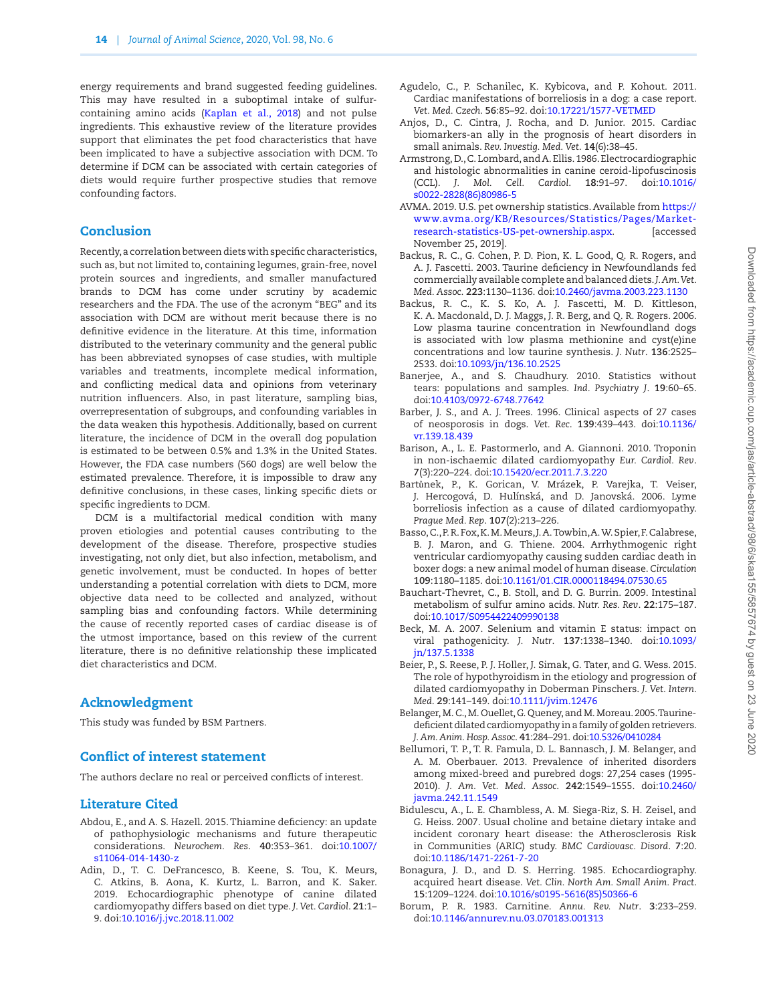energy requirements and brand suggested feeding guidelines. This may have resulted in a suboptimal intake of sulfurcontaining amino acids (Kaplan et al., 2018) and not pulse ingredients. This exhaustive review of the literature provides support that eliminates the pet food characteristics that have been implicated to have a subjective association with DCM. To determine if DCM can be associated with certain categories of diets would require further prospective studies that remove confounding factors.

## Conclusion

Recently, a correlation between diets with specific characteristics, such as, but not limited to, containing legumes, grain-free, novel protein sources and ingredients, and smaller manufactured brands to DCM has come under scrutiny by academic researchers and the FDA. The use of the acronym "BEG" and its association with DCM are without merit because there is no definitive evidence in the literature. At this time, information distributed to the veterinary community and the general public has been abbreviated synopses of case studies, with multiple variables and treatments, incomplete medical information, and conflicting medical data and opinions from veterinary nutrition influencers. Also, in past literature, sampling bias, overrepresentation of subgroups, and confounding variables in the data weaken this hypothesis. Additionally, based on current literature, the incidence of DCM in the overall dog population is estimated to be between 0.5% and 1.3% in the United States. However, the FDA case numbers (560 dogs) are well below the estimated prevalence. Therefore, it is impossible to draw any definitive conclusions, in these cases, linking specific diets or specific ingredients to DCM.

DCM is a multifactorial medical condition with many proven etiologies and potential causes contributing to the development of the disease. Therefore, prospective studies investigating, not only diet, but also infection, metabolism, and genetic involvement, must be conducted. In hopes of better understanding a potential correlation with diets to DCM, more objective data need to be collected and analyzed, without sampling bias and confounding factors. While determining the cause of recently reported cases of cardiac disease is of the utmost importance, based on this review of the current literature, there is no definitive relationship these implicated diet characteristics and DCM.

#### Acknowledgment

This study was funded by BSM Partners.

## Conflict of interest statement

The authors declare no real or perceived conflicts of interest.

## Literature Cited

- <span id="page-13-1"></span>Abdou, E., and A. S. Hazell. 2015. Thiamine deficiency: an update of pathophysiologic mechanisms and future therapeutic considerations. *Neurochem. Res*. **40**:353–361. doi[:10.1007/](https://doi.org/10.1007/s11064-014-1430-z) [s11064-014-1430-z](https://doi.org/10.1007/s11064-014-1430-z)
- <span id="page-13-2"></span>Adin, D., T. C. DeFrancesco, B. Keene, S. Tou, K. Meurs, C. Atkins, B. Aona, K. Kurtz, L. Barron, and K. Saker. 2019. Echocardiographic phenotype of canine dilated cardiomyopathy differs based on diet type. *J. Vet. Cardiol*. **21**:1– 9. doi:[10.1016/j.jvc.2018.11.002](https://doi.org/10.1016/j.jvc.2018.11.002)
- Agudelo, C., P. Schanilec, K. Kybicova, and P. Kohout. 2011. Cardiac manifestations of borreliosis in a dog: a case report. *Vet. Med. Czech*. **56**:85–92. doi[:10.17221/1577-VETMED](https://doi.org/10.17221/1577-VETMED)
- Anjos, D., C. Cintra, J. Rocha, and D. Junior. 2015. Cardiac biomarkers-an ally in the prognosis of heart disorders in small animals. *Rev. Investig. Med. Vet*. **14**(6):38–45.
- Armstrong, D., C. Lombard, and A. Ellis. 1986. Electrocardiographic and histologic abnormalities in canine ceroid-lipofuscinosis (CCL). *J. Mol. Cell. Cardiol*. **18**:91–97. doi[:10.1016/](https://doi.org/10.1016/s0022-2828(86)80986-5) [s0022-2828\(86\)80986-5](https://doi.org/10.1016/s0022-2828(86)80986-5)
- AVMA. 2019. U.S. pet ownership statistics. Available from [https://](https://www.avma.org/KB/Resources/Statistics/Pages/Market-research-statistics-US-pet-ownership.aspx) [www.avma.org/KB/Resources/Statistics/Pages/Market](https://www.avma.org/KB/Resources/Statistics/Pages/Market-research-statistics-US-pet-ownership.aspx)[research-statistics-US-pet-ownership.aspx.](https://www.avma.org/KB/Resources/Statistics/Pages/Market-research-statistics-US-pet-ownership.aspx) [accessed November 25, 2019].
- Backus, R. C., G. Cohen, P. D. Pion, K. L. Good, Q. R. Rogers, and A. J. Fascetti. 2003. Taurine deficiency in Newfoundlands fed commercially available complete and balanced diets. *J. Am. Vet. Med. Assoc*. **223**:1130–1136. doi:[10.2460/javma.2003.223.1130](https://doi.org/10.2460/javma.2003.223.1130)
- Backus, R. C., K. S. Ko, A. J. Fascetti, M. D. Kittleson, K. A. Macdonald, D. J. Maggs, J. R. Berg, and Q. R. Rogers. 2006. Low plasma taurine concentration in Newfoundland dogs is associated with low plasma methionine and cyst(e)ine concentrations and low taurine synthesis. *J. Nutr*. **136**:2525– 2533. doi[:10.1093/jn/136.10.2525](https://doi.org/10.1093/jn/136.10.2525)
- Banerjee, A., and S. Chaudhury. 2010. Statistics without tears: populations and samples. *Ind. Psychiatry J*. **19**:60–65. doi:[10.4103/0972-6748.77642](https://doi.org/10.4103/0972-6748.77642)
- Barber, J. S., and A. J. Trees. 1996. Clinical aspects of 27 cases of neosporosis in dogs. *Vet. Rec*. **139**:439–443. doi[:10.1136/](https://doi.org/10.1136/vr.139.18.439) [vr.139.18.439](https://doi.org/10.1136/vr.139.18.439)
- Barison, A., L. E. Pastormerlo, and A. Giannoni. 2010. Troponin in non-ischaemic dilated cardiomyopathy *Eur. Cardiol. Rev*. **7**(3):220–224. doi:[10.15420/ecr.2011.7.3.220](https://doi.org/10.15420/ecr.2011.7.3.220)
- Bartůnek, P., K. Gorican, V. Mrázek, P. Varejka, T. Veiser, J. Hercogová, D. Hulínská, and D. Janovská. 2006. Lyme borreliosis infection as a cause of dilated cardiomyopathy. *Prague Med. Rep*. **107**(2):213–226.
- Basso, C., P. R. Fox, K. M. Meurs, J. A. Towbin, A. W. Spier, F. Calabrese, B. J. Maron, and G. Thiene. 2004. Arrhythmogenic right ventricular cardiomyopathy causing sudden cardiac death in boxer dogs: a new animal model of human disease. *Circulation* **109**:1180–1185. doi[:10.1161/01.CIR.0000118494.07530.65](https://doi.org/10.1161/01.CIR.0000118494.07530.65)
- Bauchart-Thevret, C., B. Stoll, and D. G. Burrin. 2009. Intestinal metabolism of sulfur amino acids. *Nutr. Res. Rev*. **22**:175–187. doi:[10.1017/S0954422409990138](https://doi.org/10.1017/S0954422409990138)
- Beck, M. A. 2007. Selenium and vitamin E status: impact on viral pathogenicity. *J. Nutr*. **137**:1338–1340. doi[:10.1093/](https://doi.org/10.1093/jn/137.5.1338) [jn/137.5.1338](https://doi.org/10.1093/jn/137.5.1338)
- Beier, P., S. Reese, P. J. Holler, J. Simak, G. Tater, and G. Wess. 2015. The role of hypothyroidism in the etiology and progression of dilated cardiomyopathy in Doberman Pinschers. *J. Vet. Intern. Med*. **29**:141–149. doi:[10.1111/jvim.12476](https://doi.org/10.1111/jvim.12476)
- Belanger, M. C., M. Ouellet, G. Queney, and M. Moreau. 2005. Taurinedeficient dilated cardiomyopathy in a family of golden retrievers. *J. Am. Anim. Hosp. Assoc*. **41**:284–291. doi[:10.5326/0410284](https://doi.org/10.5326/0410284)
- Bellumori, T. P., T. R. Famula, D. L. Bannasch, J. M. Belanger, and A. M. Oberbauer. 2013. Prevalence of inherited disorders among mixed-breed and purebred dogs: 27,254 cases (1995- 2010). *J. Am. Vet. Med. Assoc*. **242**:1549–1555. doi[:10.2460/](https://doi.org/10.2460/javma.242.11.1549) [javma.242.11.1549](https://doi.org/10.2460/javma.242.11.1549)
- <span id="page-13-0"></span>Bidulescu, A., L. E. Chambless, A. M. Siega-Riz, S. H. Zeisel, and G. Heiss. 2007. Usual choline and betaine dietary intake and incident coronary heart disease: the Atherosclerosis Risk in Communities (ARIC) study. *BMC Cardiovasc. Disord*. **7**:20. doi:[10.1186/1471-2261-7-20](https://doi.org/10.1186/1471-2261-7-20)
- Bonagura, J. D., and D. S. Herring. 1985. Echocardiography. acquired heart disease. *Vet. Clin. North Am. Small Anim. Pract*. **15**:1209–1224. doi:[10.1016/s0195-5616\(85\)50366-6](https://doi.org/10.1016/s0195-5616(85)50366-6)
- Borum, P. R. 1983. Carnitine. *Annu. Rev. Nutr*. **3**:233–259. doi:[10.1146/annurev.nu.03.070183.001313](https://doi.org/10.1146/annurev.nu.03.070183.001313)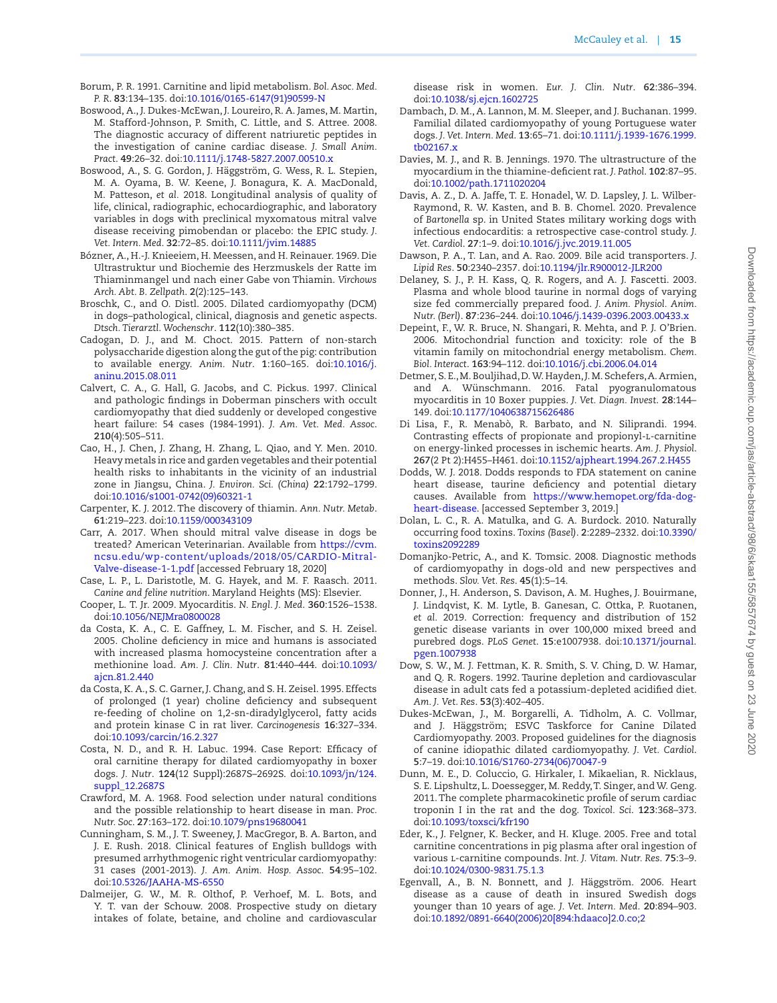- Borum, P. R. 1991. Carnitine and lipid metabolism. *Bol. Asoc. Med. P. R*. **83**:134–135. doi[:10.1016/0165-6147\(91\)90599-N](https://doi.org/10.1016/0165-6147(91)90599-N)
- Boswood, A., J. Dukes-McEwan, J. Loureiro, R. A. James, M. Martin, M. Stafford-Johnson, P. Smith, C. Little, and S. Attree. 2008. The diagnostic accuracy of different natriuretic peptides in the investigation of canine cardiac disease. *J. Small Anim. Pract*. **49**:26–32. doi:[10.1111/j.1748-5827.2007.00510.x](https://doi.org/10.1111/j.1748-5827.2007.00510.x)
- Boswood, A., S. G. Gordon, J. Häggström, G. Wess, R. L. Stepien, M. A. Oyama, B. W. Keene, J. Bonagura, K. A. MacDonald, M. Patteson, *et al.* 2018. Longitudinal analysis of quality of life, clinical, radiographic, echocardiographic, and laboratory variables in dogs with preclinical myxomatous mitral valve disease receiving pimobendan or placebo: the EPIC study. *J. Vet. Intern. Med*. **32**:72–85. doi[:10.1111/jvim.14885](https://doi.org/10.1111/jvim.14885)
- Bózner, A., H.-J. Knieeiem, H. Meessen, and H. Reinauer. 1969. Die Ultrastruktur und Biochemie des Herzmuskels der Ratte im Thiaminmangel und nach einer Gabe von Thiamin. *Virchows Arch. Abt. B. Zellpath*. **2**(2):125–143.
- Broschk, C., and O. Distl. 2005. Dilated cardiomyopathy (DCM) in dogs–pathological, clinical, diagnosis and genetic aspects. *Dtsch. Tierarztl. Wochenschr*. **112**(10):380–385.
- Cadogan, D. J., and M. Choct. 2015. Pattern of non-starch polysaccharide digestion along the gut of the pig: contribution to available energy. *Anim. Nutr*. **1**:160–165. doi:[10.1016/j.](https://doi.org/10.1016/j.aninu.2015.08.011) [aninu.2015.08.011](https://doi.org/10.1016/j.aninu.2015.08.011)
- Calvert, C. A., G. Hall, G. Jacobs, and C. Pickus. 1997. Clinical and pathologic findings in Doberman pinschers with occult cardiomyopathy that died suddenly or developed congestive heart failure: 54 cases (1984-1991). *J. Am. Vet. Med. Assoc*. **210**(4):505–511.
- Cao, H., J. Chen, J. Zhang, H. Zhang, L. Qiao, and Y. Men. 2010. Heavy metals in rice and garden vegetables and their potential health risks to inhabitants in the vicinity of an industrial zone in Jiangsu, China. *J. Environ. Sci. (China)* **22**:1792–1799. doi:[10.1016/s1001-0742\(09\)60321-1](https://doi.org/10.1016/s1001-0742(09)60321-1)
- Carpenter, K. J. 2012. The discovery of thiamin. *Ann. Nutr. Metab*. **61**:219–223. doi[:10.1159/000343109](https://doi.org/10.1159/000343109)
- Carr, A. 2017. When should mitral valve disease in dogs be treated? American Veterinarian. Available from [https://cvm.](https://cvm.ncsu.edu/wp-content/uploads/2018/05/CARDIO-Mitral-Valve-disease-1-1.pdf﻿) [ncsu.edu/wp-content/uploads/2018/05/CARDIO-Mitral-](https://cvm.ncsu.edu/wp-content/uploads/2018/05/CARDIO-Mitral-Valve-disease-1-1.pdf﻿)[Valve-disease-1-1.pdf](https://cvm.ncsu.edu/wp-content/uploads/2018/05/CARDIO-Mitral-Valve-disease-1-1.pdf﻿) [accessed February 18, 2020]
- Case, L. P., L. Daristotle, M. G. Hayek, and M. F. Raasch. 2011. *Canine and feline nutrition*. Maryland Heights (MS): Elsevier.
- Cooper, L. T. Jr. 2009. Myocarditis. *N. Engl. J. Med*. **360**:1526–1538. doi:[10.1056/NEJMra0800028](https://doi.org/10.1056/NEJMra0800028)
- da Costa, K. A., C. E. Gaffney, L. M. Fischer, and S. H. Zeisel. 2005. Choline deficiency in mice and humans is associated with increased plasma homocysteine concentration after a methionine load. *Am. J. Clin. Nutr*. **81**:440–444. doi[:10.1093/](https://doi.org/10.1093/ajcn.81.2.440) [ajcn.81.2.440](https://doi.org/10.1093/ajcn.81.2.440)
- da Costa, K. A., S. C. Garner, J. Chang, and S. H. Zeisel. 1995. Effects of prolonged (1 year) choline deficiency and subsequent re-feeding of choline on 1,2-sn-diradylglycerol, fatty acids and protein kinase C in rat liver. *Carcinogenesis* **16**:327–334. doi:[10.1093/carcin/16.2.327](https://doi.org/10.1093/carcin/16.2.327)
- Costa, N. D., and R. H. Labuc. 1994. Case Report: Efficacy of oral carnitine therapy for dilated cardiomyopathy in boxer dogs. *J. Nutr*. **124**(12 Suppl):2687S–2692S. doi:[10.1093/jn/124.](https://doi.org/10.1093/jn/124.suppl_12.2687S) [suppl\\_12.2687S](https://doi.org/10.1093/jn/124.suppl_12.2687S)
- Crawford, M. A. 1968. Food selection under natural conditions and the possible relationship to heart disease in man. *Proc. Nutr. Soc*. **27**:163–172. doi[:10.1079/pns19680041](https://doi.org/10.1079/pns19680041)
- Cunningham, S. M., J. T. Sweeney, J. MacGregor, B. A. Barton, and J. E. Rush. 2018. Clinical features of English bulldogs with presumed arrhythmogenic right ventricular cardiomyopathy: 31 cases (2001-2013). *J. Am. Anim. Hosp. Assoc*. **54**:95–102. doi:[10.5326/JAAHA-MS-6550](https://doi.org/10.5326/JAAHA-MS-6550)
- Dalmeijer, G. W., M. R. Olthof, P. Verhoef, M. L. Bots, and Y. T. van der Schouw. 2008. Prospective study on dietary intakes of folate, betaine, and choline and cardiovascular

disease risk in women. *Eur. J. Clin. Nutr*. **62**:386–394. doi:[10.1038/sj.ejcn.1602725](https://doi.org/10.1038/sj.ejcn.1602725)

- Dambach, D. M., A. Lannon, M. M. Sleeper, and J. Buchanan. 1999. Familial dilated cardiomyopathy of young Portuguese water dogs. *J. Vet. Intern. Med*. **13**:65–71. doi:[10.1111/j.1939-1676.1999.](https://doi.org/10.1111/j.1939-1676.1999.tb02167.x) [tb02167.x](https://doi.org/10.1111/j.1939-1676.1999.tb02167.x)
- Davies, M. J., and R. B. Jennings. 1970. The ultrastructure of the myocardium in the thiamine-deficient rat. *J. Pathol*. **102**:87–95. doi:[10.1002/path.1711020204](https://doi.org/10.1002/path.1711020204)
- Davis, A. Z., D. A. Jaffe, T. E. Honadel, W. D. Lapsley, J. L. Wilber-Raymond, R. W. Kasten, and B. B. Chomel. 2020. Prevalence of *Bartonella* sp. in United States military working dogs with infectious endocarditis: a retrospective case-control study. *J. Vet. Cardiol*. **27**:1–9. doi[:10.1016/j.jvc.2019.11.005](https://doi.org/10.1016/j.jvc.2019.11.005)
- Dawson, P. A., T. Lan, and A. Rao. 2009. Bile acid transporters. *J. Lipid Res*. **50**:2340–2357. doi:[10.1194/jlr.R900012-JLR200](https://doi.org/10.1194/jlr.R900012-JLR200)
- Delaney, S. J., P. H. Kass, Q. R. Rogers, and A. J. Fascetti. 2003. Plasma and whole blood taurine in normal dogs of varying size fed commercially prepared food. *J. Anim. Physiol. Anim. Nutr. (Berl)*. **87**:236–244. doi[:10.1046/j.1439-0396.2003.00433.x](https://doi.org/10.1046/j.1439-0396.2003.00433.x)
- Depeint, F., W. R. Bruce, N. Shangari, R. Mehta, and P. J. O'Brien. 2006. Mitochondrial function and toxicity: role of the B vitamin family on mitochondrial energy metabolism. *Chem. Biol. Interact*. **163**:94–112. doi[:10.1016/j.cbi.2006.04.014](https://doi.org/10.1016/j.cbi.2006.04.014)
- Detmer, S. E., M. Bouljihad, D. W. Hayden, J. M. Schefers, A. Armien, and A. Wünschmann. 2016. Fatal pyogranulomatous myocarditis in 10 Boxer puppies. *J. Vet. Diagn. Invest*. **28**:144– 149. doi[:10.1177/1040638715626486](https://doi.org/10.1177/1040638715626486)
- Di Lisa, F., R. Menabò, R. Barbato, and N. Siliprandi. 1994. Contrasting effects of propionate and propionyl-l-carnitine on energy-linked processes in ischemic hearts. *Am. J. Physiol*. **267**(2 Pt 2):H455–H461. doi:[10.1152/ajpheart.1994.267.2.H455](https://doi.org/10.1152/ajpheart.1994.267.2.H455)
- Dodds, W. J. 2018. Dodds responds to FDA statement on canine heart disease, taurine deficiency and potential dietary causes. Available from [https://www.hemopet.org/fda-dog](https://www.hemopet.org/fda-dog-heart-disease)[heart-disease.](https://www.hemopet.org/fda-dog-heart-disease) [accessed September 3, 2019.]
- Dolan, L. C., R. A. Matulka, and G. A. Burdock. 2010. Naturally occurring food toxins. *Toxins (Basel)*. **2**:2289–2332. doi[:10.3390/](https://doi.org/10.3390/toxins2092289) [toxins2092289](https://doi.org/10.3390/toxins2092289)
- Domanjko-Petric, A., and K. Tomsic. 2008. Diagnostic methods of cardiomyopathy in dogs-old and new perspectives and methods. *Slov. Vet. Res*. **45**(1):5–14.
- Donner, J., H. Anderson, S. Davison, A. M. Hughes, J. Bouirmane, J. Lindqvist, K. M. Lytle, B. Ganesan, C. Ottka, P. Ruotanen, *et al.* 2019. Correction: frequency and distribution of 152 genetic disease variants in over 100,000 mixed breed and purebred dogs. *PLoS Genet*. **15**:e1007938. doi:[10.1371/journal.](https://doi.org/10.1371/journal.pgen.1007938) [pgen.1007938](https://doi.org/10.1371/journal.pgen.1007938)
- Dow, S. W., M. J. Fettman, K. R. Smith, S. V. Ching, D. W. Hamar, and Q. R. Rogers. 1992. Taurine depletion and cardiovascular disease in adult cats fed a potassium-depleted acidified diet. *Am. J. Vet. Res*. **53**(3):402–405.
- Dukes-McEwan, J., M. Borgarelli, A. Tidholm, A. C. Vollmar, and J. Häggström; ESVC Taskforce for Canine Dilated Cardiomyopathy. 2003. Proposed guidelines for the diagnosis of canine idiopathic dilated cardiomyopathy. *J. Vet. Cardiol*. **5**:7–19. doi[:10.1016/S1760-2734\(06\)70047-9](https://doi.org/10.1016/S1760-2734(06)70047-9)
- Dunn, M. E., D. Coluccio, G. Hirkaler, I. Mikaelian, R. Nicklaus, S. E. Lipshultz, L. Doessegger, M. Reddy, T. Singer, and W. Geng. 2011. The complete pharmacokinetic profile of serum cardiac troponin I in the rat and the dog. *Toxicol. Sci*. **123**:368–373. doi:[10.1093/toxsci/kfr190](https://doi.org/10.1093/toxsci/kfr190)
- Eder, K., J. Felgner, K. Becker, and H. Kluge. 2005. Free and total carnitine concentrations in pig plasma after oral ingestion of various l-carnitine compounds. *Int. J. Vitam. Nutr. Res*. **75**:3–9. doi:[10.1024/0300-9831.75.1.3](https://doi.org/10.1024/0300-9831.75.1.3)
- Egenvall, A., B. N. Bonnett, and J. Häggström. 2006. Heart disease as a cause of death in insured Swedish dogs younger than 10 years of age. *J. Vet. Intern. Med*. **20**:894–903. doi:[10.1892/0891-6640\(2006\)20\[894:hdaaco\]2.0.co;2](https://doi.org/10.1892/0891-6640(2006)20[894:hdaaco]2.0.co;2)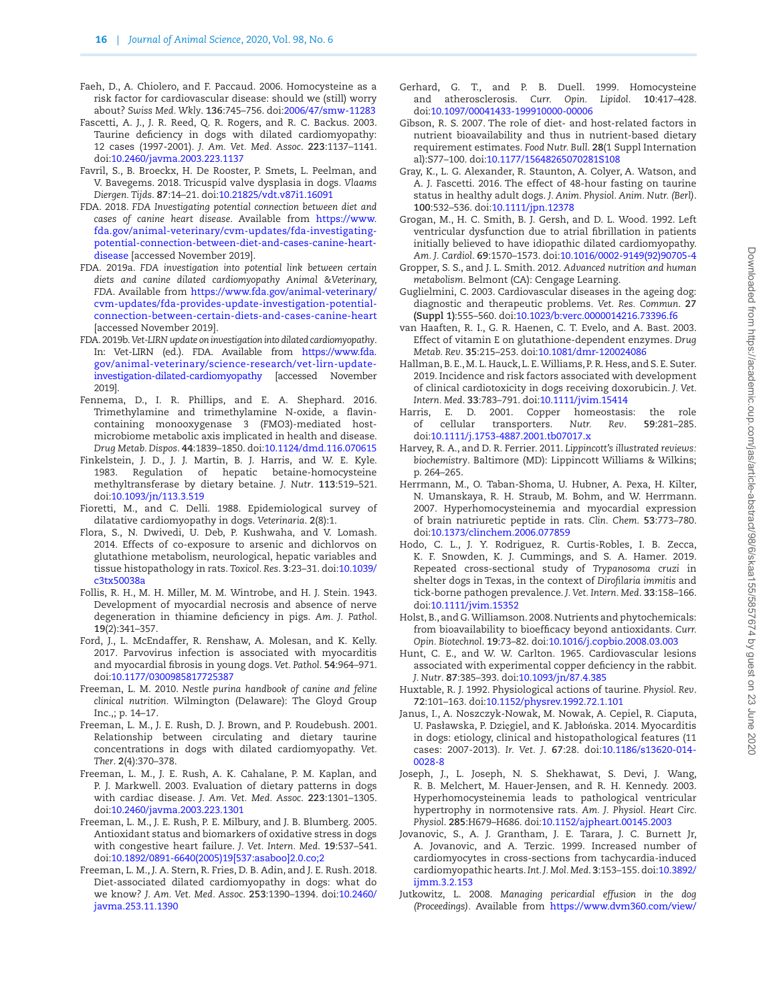- Faeh, D., A. Chiolero, and F. Paccaud. 2006. Homocysteine as a risk factor for cardiovascular disease: should we (still) worry about? *Swiss Med. Wkly*. **136**:745–756. doi:[2006/47/smw-11283](https://doi.org/2006/47/smw-11283)
- Fascetti, A. J., J. R. Reed, Q. R. Rogers, and R. C. Backus. 2003. Taurine deficiency in dogs with dilated cardiomyopathy: 12 cases (1997-2001). *J. Am. Vet. Med. Assoc*. **223**:1137–1141. doi:[10.2460/javma.2003.223.1137](https://doi.org/10.2460/javma.2003.223.1137)
- Favril, S., B. Broeckx, H. De Rooster, P. Smets, L. Peelman, and V. Bavegems. 2018. Tricuspid valve dysplasia in dogs. *Vlaams Diergen. Tijds*. **87**:14–21. doi:[10.21825/vdt.v87i1.16091](https://doi.org/10.21825/vdt.v87i1.16091)
- FDA. 2018. *FDA Investigating potential connection between diet and cases of canine heart disease*. Available from [https://www.](https://www.fda.gov/animal-veterinary/cvm-updates/fda-investigating-potential-connection-between-diet-and-cases-canine-heart-disease﻿) [fda.gov/animal-veterinary/cvm-updates/fda-investigating](https://www.fda.gov/animal-veterinary/cvm-updates/fda-investigating-potential-connection-between-diet-and-cases-canine-heart-disease﻿)[potential-connection-between-diet-and-cases-canine-heart](https://www.fda.gov/animal-veterinary/cvm-updates/fda-investigating-potential-connection-between-diet-and-cases-canine-heart-disease﻿)[disease](https://www.fda.gov/animal-veterinary/cvm-updates/fda-investigating-potential-connection-between-diet-and-cases-canine-heart-disease﻿) [accessed November 2019].
- FDA. 2019a. *FDA investigation into potential link between certain diets and canine dilated cardiomyopathy Animal &Veterinary, FDA*. Available from [https://www.fda.gov/animal-veterinary/](https://www.fda.gov/animal-veterinary/cvm-updates/fda-provides-update-investigation-potential-connection-between-certain-diets-and-cases-canine-heart﻿) [cvm-updates/fda-provides-update-investigation-potential](https://www.fda.gov/animal-veterinary/cvm-updates/fda-provides-update-investigation-potential-connection-between-certain-diets-and-cases-canine-heart﻿)[connection-between-certain-diets-and-cases-canine-heart](https://www.fda.gov/animal-veterinary/cvm-updates/fda-provides-update-investigation-potential-connection-between-certain-diets-and-cases-canine-heart﻿) [accessed November 2019].
- FDA. 2019b. *Vet-LIRN update on investigation into dilated cardiomyopathy*. In: Vet-LIRN (ed.). FDA. Available from [https://www.fda.](https://www.fda.gov/animal-veterinary/science-research/vet-lirn-update-investigation-dilated-cardiomyopathy﻿) [gov/animal-veterinary/science-research/vet-lirn-update](https://www.fda.gov/animal-veterinary/science-research/vet-lirn-update-investigation-dilated-cardiomyopathy﻿)[investigation-dilated-cardiomyopathy](https://www.fda.gov/animal-veterinary/science-research/vet-lirn-update-investigation-dilated-cardiomyopathy﻿) [accessed November 2019].
- Fennema, D., I. R. Phillips, and E. A. Shephard. 2016. Trimethylamine and trimethylamine N-oxide, a flavincontaining monooxygenase 3 (FMO3)-mediated hostmicrobiome metabolic axis implicated in health and disease. *Drug Metab. Dispos*. **44**:1839–1850. doi:[10.1124/dmd.116.070615](https://doi.org/10.1124/dmd.116.070615)
- Finkelstein, J. D., J. J. Martin, B. J. Harris, and W. E. Kyle. 1983. Regulation of hepatic betaine-homocysteine methyltransferase by dietary betaine. *J. Nutr*. **113**:519–521. doi:[10.1093/jn/113.3.519](https://doi.org/10.1093/jn/113.3.519)
- Fioretti, M., and C. Delli. 1988. Epidemiological survey of dilatative cardiomyopathy in dogs. *Veterinaria*. **2**(8):1.
- Flora, S., N. Dwivedi, U. Deb, P. Kushwaha, and V. Lomash. 2014. Effects of co-exposure to arsenic and dichlorvos on glutathione metabolism, neurological, hepatic variables and tissue histopathology in rats. *Toxicol. Res*. **3**:23–31. doi[:10.1039/](https://doi.org/10.1039/c3tx50038a) [c3tx50038a](https://doi.org/10.1039/c3tx50038a)
- Follis, R. H., M. H. Miller, M. M. Wintrobe, and H. J. Stein. 1943. Development of myocardial necrosis and absence of nerve degeneration in thiamine deficiency in pigs. *Am. J. Pathol*. **19**(2):341–357.
- Ford, J., L. McEndaffer, R. Renshaw, A. Molesan, and K. Kelly. 2017. Parvovirus infection is associated with myocarditis and myocardial fibrosis in young dogs. *Vet. Pathol*. **54**:964–971. doi:[10.1177/0300985817725387](https://doi.org/10.1177/0300985817725387)
- Freeman, L. M. 2010. *Nestle purina handbook of canine and feline clinical nutrition.* Wilmington (Delaware): The Gloyd Group Inc.,; p. 14–17.
- Freeman, L. M., J. E. Rush, D. J. Brown, and P. Roudebush. 2001. Relationship between circulating and dietary taurine concentrations in dogs with dilated cardiomyopathy. *Vet. Ther*. **2**(4):370–378.
- Freeman, L. M., J. E. Rush, A. K. Cahalane, P. M. Kaplan, and P. J. Markwell. 2003. Evaluation of dietary patterns in dogs with cardiac disease. *J. Am. Vet. Med. Assoc*. **223**:1301–1305. doi:[10.2460/javma.2003.223.1301](https://doi.org/10.2460/javma.2003.223.1301)
- Freeman, L. M., J. E. Rush, P. E. Milbury, and J. B. Blumberg. 2005. Antioxidant status and biomarkers of oxidative stress in dogs with congestive heart failure. *J. Vet. Intern. Med*. **19**:537–541. doi:[10.1892/0891-6640\(2005\)19\[537:asaboo\]2.0.co;2](https://doi.org/10.1892/0891-6640(2005)19[537:asaboo]2.0.co;2)
- Freeman, L. M., J. A. Stern, R. Fries, D. B. Adin, and J. E. Rush. 2018. Diet-associated dilated cardiomyopathy in dogs: what do we know? *J. Am. Vet. Med. Assoc*. **253**:1390–1394. doi[:10.2460/](https://doi.org/10.2460/javma.253.11.1390) [javma.253.11.1390](https://doi.org/10.2460/javma.253.11.1390)
- Gerhard, G. T., and P. B. Duell. 1999. Homocysteine and atherosclerosis. *Curr. Opin. Lipidol*. **10**:417–428. doi:[10.1097/00041433-199910000-00006](https://doi.org/10.1097/00041433-199910000-00006)
- Gibson, R. S. 2007. The role of diet- and host-related factors in nutrient bioavailability and thus in nutrient-based dietary requirement estimates. *Food Nutr. Bull*. **28**(1 Suppl Internation al):S77–100. doi:[10.1177/15648265070281S108](https://doi.org/10.1177/15648265070281S108)
- Gray, K., L. G. Alexander, R. Staunton, A. Colyer, A. Watson, and A. J. Fascetti. 2016. The effect of 48-hour fasting on taurine status in healthy adult dogs. *J. Anim. Physiol. Anim. Nutr. (Berl)*. **100**:532–536. doi:[10.1111/jpn.12378](https://doi.org/10.1111/jpn.12378)
- Grogan, M., H. C. Smith, B. J. Gersh, and D. L. Wood. 1992. Left ventricular dysfunction due to atrial fibrillation in patients initially believed to have idiopathic dilated cardiomyopathy. *Am. J. Cardiol*. **69**:1570–1573. doi:[10.1016/0002-9149\(92\)90705-4](https://doi.org/10.1016/0002-9149(92)90705-4)
- Gropper, S. S., and J. L. Smith. 2012. *Advanced nutrition and human metabolism.* Belmont (CA): Cengage Learning.
- Guglielmini, C. 2003. Cardiovascular diseases in the ageing dog: diagnostic and therapeutic problems. *Vet. Res. Commun*. **27 (Suppl 1)**:555–560. doi[:10.1023/b:verc.0000014216.73396.f6](https://doi.org/10.1023/b:verc.0000014216.73396.f6)
- van Haaften, R. I., G. R. Haenen, C. T. Evelo, and A. Bast. 2003. Effect of vitamin E on glutathione-dependent enzymes. *Drug Metab. Rev*. **35**:215–253. doi[:10.1081/dmr-120024086](https://doi.org/10.1081/dmr-120024086)
- Hallman, B. E., M. L. Hauck, L. E. Williams, P. R. Hess, and S. E. Suter. 2019. Incidence and risk factors associated with development of clinical cardiotoxicity in dogs receiving doxorubicin. *J. Vet. Intern. Med*. **33**:783–791. doi:[10.1111/jvim.15414](https://doi.org/10.1111/jvim.15414)
- Harris, E. D. 2001. Copper homeostasis: the role of cellular transporters. *Nutr. Rev*. **59**:281–285. doi:[10.1111/j.1753-4887.2001.tb07017.x](https://doi.org/10.1111/j.1753-4887.2001.tb07017.x)
- Harvey, R. A., and D. R. Ferrier. 2011. *Lippincott's illustrated reviews: biochemistry*. Baltimore (MD): Lippincott Williams & Wilkins; p. 264–265.
- Herrmann, M., O. Taban-Shoma, U. Hubner, A. Pexa, H. Kilter, N. Umanskaya, R. H. Straub, M. Bohm, and W. Herrmann. 2007. Hyperhomocysteinemia and myocardial expression of brain natriuretic peptide in rats. *Clin. Chem*. **53**:773–780. doi:[10.1373/clinchem.2006.077859](https://doi.org/10.1373/clinchem.2006.077859)
- Hodo, C. L., J. Y. Rodriguez, R. Curtis-Robles, I. B. Zecca, K. F. Snowden, K. J. Cummings, and S. A. Hamer. 2019. Repeated cross-sectional study of *Trypanosoma cruzi* in shelter dogs in Texas, in the context of *Dirofilaria immitis* and tick-borne pathogen prevalence. *J. Vet. Intern. Med*. **33**:158–166. doi:[10.1111/jvim.15352](https://doi.org/10.1111/jvim.15352)
- Holst, B., and G. Williamson. 2008. Nutrients and phytochemicals: from bioavailability to bioefficacy beyond antioxidants. *Curr. Opin. Biotechnol*. **19**:73–82. doi:[10.1016/j.copbio.2008.03.003](https://doi.org/10.1016/j.copbio.2008.03.003)
- Hunt, C. E., and W. W. Carlton. 1965. Cardiovascular lesions associated with experimental copper deficiency in the rabbit. *J. Nutr*. **87**:385–393. doi[:10.1093/jn/87.4.385](https://doi.org/10.1093/jn/87.4.385)
- Huxtable, R. J. 1992. Physiological actions of taurine. *Physiol. Rev*. **72**:101–163. doi[:10.1152/physrev.1992.72.1.101](https://doi.org/10.1152/physrev.1992.72.1.101)
- Janus, I., A. Noszczyk-Nowak, M. Nowak, A. Cepiel, R. Ciaputa, U. Pasławska, P. Dzięgiel, and K. Jabłońska. 2014. Myocarditis in dogs: etiology, clinical and histopathological features (11 cases: 2007-2013). *Ir. Vet. J*. **67**:28. doi:[10.1186/s13620-014-](https://doi.org/10.1186/s13620-014-0028-8) [0028-8](https://doi.org/10.1186/s13620-014-0028-8)
- Joseph, J., L. Joseph, N. S. Shekhawat, S. Devi, J. Wang, R. B. Melchert, M. Hauer-Jensen, and R. H. Kennedy. 2003. Hyperhomocysteinemia leads to pathological ventricular hypertrophy in normotensive rats. *Am. J. Physiol. Heart Circ. Physiol*. **285**:H679–H686. doi[:10.1152/ajpheart.00145.2003](https://doi.org/10.1152/ajpheart.00145.2003)
- Jovanovic, S., A. J. Grantham, J. E. Tarara, J. C. Burnett Jr, A. Jovanovic, and A. Terzic. 1999. Increased number of cardiomyocytes in cross-sections from tachycardia-induced cardiomyopathic hearts. *Int. J. Mol. Med*. **3**:153–155. doi[:10.3892/](https://doi.org/10.3892/ijmm.3.2.153) [ijmm.3.2.153](https://doi.org/10.3892/ijmm.3.2.153)
- Jutkowitz, L. 2008. *Managing pericardial effusion in the dog (Proceedings).* Available from [https://www.dvm360.com/view/](https://www.dvm360.com/view/managing-pericardial-effusion-dog-proceedings﻿)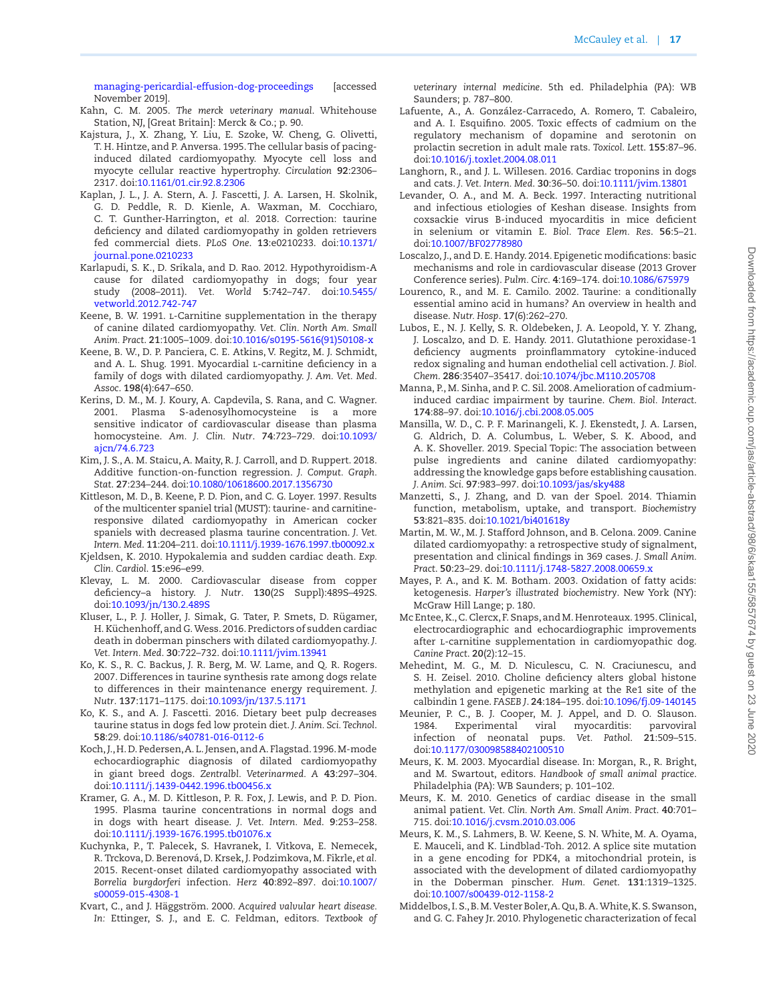[managing-pericardial-effusion-dog-proceedings](https://www.dvm360.com/view/managing-pericardial-effusion-dog-proceedings﻿) [accessed November 2019].

- Kahn, C. M. 2005. *The merck veterinary manual*. Whitehouse Station, NJ, [Great Britain]: Merck & Co.; p. 90.
- <span id="page-16-1"></span>Kajstura, J., X. Zhang, Y. Liu, E. Szoke, W. Cheng, G. Olivetti, T. H. Hintze, and P. Anversa. 1995. The cellular basis of pacinginduced dilated cardiomyopathy. Myocyte cell loss and myocyte cellular reactive hypertrophy. *Circulation* **92**:2306– 2317. doi[:10.1161/01.cir.92.8.2306](https://doi.org/10.1161/01.cir.92.8.2306)
- Kaplan, J. L., J. A. Stern, A. J. Fascetti, J. A. Larsen, H. Skolnik, G. D. Peddle, R. D. Kienle, A. Waxman, M. Cocchiaro, C. T. Gunther-Harrington, *et al.* 2018. Correction: taurine deficiency and dilated cardiomyopathy in golden retrievers fed commercial diets. *PLoS One*. **13**:e0210233. doi[:10.1371/](https://doi.org/10.1371/journal.pone.0210233) [journal.pone.0210233](https://doi.org/10.1371/journal.pone.0210233)
- Karlapudi, S. K., D. Srikala, and D. Rao. 2012. Hypothyroidism-A cause for dilated cardiomyopathy in dogs; four year study (2008–2011). *Vet. World* **5**:742–747. doi[:10.5455/](https://doi.org/10.5455/vetworld.2012.742-747) [vetworld.2012.742-747](https://doi.org/10.5455/vetworld.2012.742-747)
- Keene, B. W. 1991. L-Carnitine supplementation in the therapy of canine dilated cardiomyopathy. *Vet. Clin. North Am. Small Anim. Pract*. **21**:1005–1009. doi:[10.1016/s0195-5616\(91\)50108-x](https://doi.org/10.1016/s0195-5616(91)50108-x)
- <span id="page-16-0"></span>Keene, B. W., D. P. Panciera, C. E. Atkins, V. Regitz, M. J. Schmidt, and A. L. Shug. 1991. Myocardial L-carnitine deficiency in a family of dogs with dilated cardiomyopathy. *J. Am. Vet. Med. Assoc*. **198**(4):647–650.
- Kerins, D. M., M. J. Koury, A. Capdevila, S. Rana, and C. Wagner. 2001. Plasma S-adenosylhomocysteine is a more sensitive indicator of cardiovascular disease than plasma homocysteine. *Am. J. Clin. Nutr*. **74**:723–729. doi[:10.1093/](https://doi.org/10.1093/ajcn/74.6.723) [ajcn/74.6.723](https://doi.org/10.1093/ajcn/74.6.723)
- Kim, J. S., A. M. Staicu, A. Maity, R. J. Carroll, and D. Ruppert. 2018. Additive function-on-function regression. *J. Comput. Graph. Stat*. **27**:234–244. doi:[10.1080/10618600.2017.1356730](https://doi.org/10.1080/10618600.2017.1356730)
- Kittleson, M. D., B. Keene, P. D. Pion, and C. G. Loyer. 1997. Results of the multicenter spaniel trial (MUST): taurine- and carnitineresponsive dilated cardiomyopathy in American cocker spaniels with decreased plasma taurine concentration. *J. Vet. Intern. Med*. **11**:204–211. doi:[10.1111/j.1939-1676.1997.tb00092.x](https://doi.org/10.1111/j.1939-1676.1997.tb00092.x)
- Kjeldsen, K. 2010. Hypokalemia and sudden cardiac death. *Exp. Clin. Cardiol*. **15**:e96–e99.
- Klevay, L. M. 2000. Cardiovascular disease from copper deficiency–a history. *J. Nutr*. **130**(2S Suppl):489S–492S. doi:[10.1093/jn/130.2.489S](https://doi.org/10.1093/jn/130.2.489S)
- Kluser, L., P. J. Holler, J. Simak, G. Tater, P. Smets, D. Rügamer, H. Küchenhoff, and G. Wess. 2016. Predictors of sudden cardiac death in doberman pinschers with dilated cardiomyopathy. *J. Vet. Intern. Med*. **30**:722–732. doi[:10.1111/jvim.13941](https://doi.org/10.1111/jvim.13941)
- Ko, K. S., R. C. Backus, J. R. Berg, M. W. Lame, and Q. R. Rogers. 2007. Differences in taurine synthesis rate among dogs relate to differences in their maintenance energy requirement. *J. Nutr*. **137**:1171–1175. doi:[10.1093/jn/137.5.1171](https://doi.org/10.1093/jn/137.5.1171)
- Ko, K. S., and A. J. Fascetti. 2016. Dietary beet pulp decreases taurine status in dogs fed low protein diet. *J. Anim. Sci. Technol*. **58**:29. doi:[10.1186/s40781-016-0112-6](https://doi.org/10.1186/s40781-016-0112-6)
- Koch, J., H. D. Pedersen, A. L. Jensen, and A. Flagstad. 1996. M-mode echocardiographic diagnosis of dilated cardiomyopathy in giant breed dogs. *Zentralbl. Veterinarmed. A* **43**:297–304. doi:[10.1111/j.1439-0442.1996.tb00456.x](https://doi.org/10.1111/j.1439-0442.1996.tb00456.x)
- Kramer, G. A., M. D. Kittleson, P. R. Fox, J. Lewis, and P. D. Pion. 1995. Plasma taurine concentrations in normal dogs and in dogs with heart disease. *J. Vet. Intern. Med*. **9**:253–258. doi:[10.1111/j.1939-1676.1995.tb01076.x](https://doi.org/10.1111/j.1939-1676.1995.tb01076.x)
- Kuchynka, P., T. Palecek, S. Havranek, I. Vitkova, E. Nemecek, R. Trckova, D. Berenová, D. Krsek, J. Podzimkova, M. Fikrle, *et al.* 2015. Recent-onset dilated cardiomyopathy associated with *Borrelia burgdorferi* infection. *Herz* **40**:892–897. doi[:10.1007/](https://doi.org/10.1007/s00059-015-4308-1) [s00059-015-4308-1](https://doi.org/10.1007/s00059-015-4308-1)
- Kvart, C., and J. Häggström. 2000. *Acquired valvular heart disease. In:* Ettinger, S. J., and E. C. Feldman, editors. *Textbook of*

*veterinary internal medicine*. 5th ed. Philadelphia (PA): WB Saunders; p. 787–800.

- Lafuente, A., A. González-Carracedo, A. Romero, T. Cabaleiro, and A. I. Esquifino. 2005. Toxic effects of cadmium on the regulatory mechanism of dopamine and serotonin on prolactin secretion in adult male rats. *Toxicol. Lett*. **155**:87–96. doi:[10.1016/j.toxlet.2004.08.011](https://doi.org/10.1016/j.toxlet.2004.08.011)
- Langhorn, R., and J. L. Willesen. 2016. Cardiac troponins in dogs and cats. *J. Vet. Intern. Med*. **30**:36–50. doi:[10.1111/jvim.13801](https://doi.org/10.1111/jvim.13801)
- Levander, O. A., and M. A. Beck. 1997. Interacting nutritional and infectious etiologies of Keshan disease. Insights from coxsackie virus B-induced myocarditis in mice deficient in selenium or vitamin E. *Biol. Trace Elem. Res*. **56**:5–21. doi:[10.1007/BF02778980](https://doi.org/10.1007/BF02778980)
- Loscalzo, J., and D. E. Handy. 2014. Epigenetic modifications: basic mechanisms and role in cardiovascular disease (2013 Grover Conference series). *Pulm. Circ*. **4**:169–174. doi:[10.1086/675979](https://doi.org/10.1086/675979)
- Lourenco, R., and M. E. Camilo. 2002. Taurine: a conditionally essential amino acid in humans? An overview in health and disease. *Nutr. Hosp*. **17**(6):262–270.
- Lubos, E., N. J. Kelly, S. R. Oldebeken, J. A. Leopold, Y. Y. Zhang, J. Loscalzo, and D. E. Handy. 2011. Glutathione peroxidase-1 deficiency augments proinflammatory cytokine-induced redox signaling and human endothelial cell activation. *J. Biol. Chem*. **286**:35407–35417. doi:[10.1074/jbc.M110.205708](https://doi.org/10.1074/jbc.M110.205708)
- Manna, P., M. Sinha, and P. C. Sil. 2008. Amelioration of cadmiuminduced cardiac impairment by taurine. *Chem. Biol. Interact*. **174**:88–97. doi[:10.1016/j.cbi.2008.05.005](https://doi.org/10.1016/j.cbi.2008.05.005)
- Mansilla, W. D., C. P. F. Marinangeli, K. J. Ekenstedt, J. A. Larsen, G. Aldrich, D. A. Columbus, L. Weber, S. K. Abood, and A. K. Shoveller. 2019. Special Topic: The association between pulse ingredients and canine dilated cardiomyopathy: addressing the knowledge gaps before establishing causation. *J. Anim. Sci*. **97**:983–997. doi:[10.1093/jas/sky488](https://doi.org/10.1093/jas/sky488)
- Manzetti, S., J. Zhang, and D. van der Spoel. 2014. Thiamin function, metabolism, uptake, and transport. *Biochemistry* **53**:821–835. doi[:10.1021/bi401618y](https://doi.org/10.1021/bi401618y)
- Martin, M. W., M. J. Stafford Johnson, and B. Celona. 2009. Canine dilated cardiomyopathy: a retrospective study of signalment, presentation and clinical findings in 369 cases. *J. Small Anim. Pract*. **50**:23–29. doi:[10.1111/j.1748-5827.2008.00659.x](https://doi.org/10.1111/j.1748-5827.2008.00659.x)
- Mayes, P. A., and K. M. Botham. 2003. Oxidation of fatty acids: ketogenesis. *Harper's illustrated biochemistry*. New York (NY): McGraw Hill Lange; p. 180.
- Mc Entee, K., C. Clercx, F. Snaps, and M. Henroteaux. 1995. Clinical, electrocardiographic and echocardiographic improvements after l-carnitine supplementation in cardiomyopathic dog. *Canine Pract*. **20**(2):12–15.
- Mehedint, M. G., M. D. Niculescu, C. N. Craciunescu, and S. H. Zeisel. 2010. Choline deficiency alters global histone methylation and epigenetic marking at the Re1 site of the calbindin 1 gene. *FASEB J*. **24**:184–195. doi:[10.1096/fj.09-140145](https://doi.org/10.1096/fj.09-140145)
- Meunier, P. C., B. J. Cooper, M. J. Appel, and D. O. Slauson.<br>1984. Experimental viral myocarditis: parvoviral 1984. Experimental viral myocarditis: parvoviral infection of neonatal pups. *Vet. Pathol*. **21**:509–515. doi:[10.1177/030098588402100510](https://doi.org/10.1177/030098588402100510)
- Meurs, K. M. 2003. Myocardial disease. In: Morgan, R., R. Bright, and M. Swartout, editors. *Handbook of small animal practice*. Philadelphia (PA): WB Saunders; p. 101–102.
- Meurs, K. M. 2010. Genetics of cardiac disease in the small animal patient. *Vet. Clin. North Am. Small Anim. Pract*. **40**:701– 715. doi[:10.1016/j.cvsm.2010.03.006](https://doi.org/10.1016/j.cvsm.2010.03.006)
- Meurs, K. M., S. Lahmers, B. W. Keene, S. N. White, M. A. Oyama, E. Mauceli, and K. Lindblad-Toh. 2012. A splice site mutation in a gene encoding for PDK4, a mitochondrial protein, is associated with the development of dilated cardiomyopathy in the Doberman pinscher. *Hum. Genet*. **131**:1319–1325. doi:[10.1007/s00439-012-1158-2](https://doi.org/10.1007/s00439-012-1158-2)
- Middelbos, I. S., B. M. Vester Boler, A. Qu, B. A. White, K. S. Swanson, and G. C. Fahey Jr. 2010. Phylogenetic characterization of fecal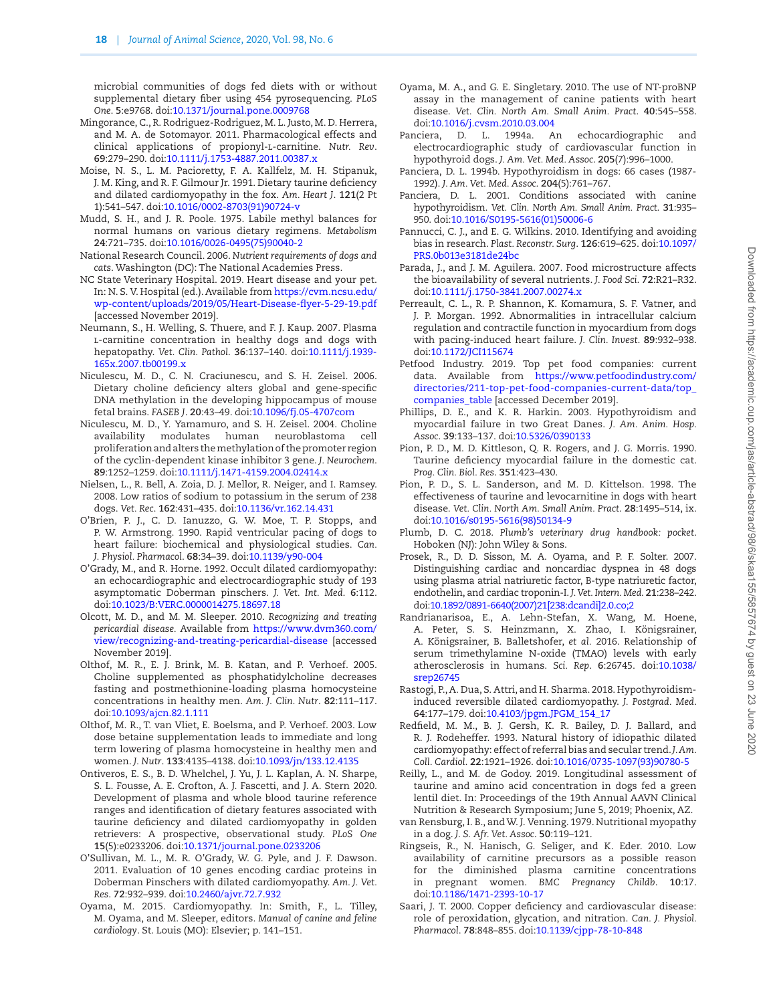microbial communities of dogs fed diets with or without supplemental dietary fiber using 454 pyrosequencing. *PLoS One*. **5**:e9768. doi[:10.1371/journal.pone.0009768](https://doi.org/10.1371/journal.pone.0009768)

- Mingorance, C., R. Rodriguez-Rodriguez, M. L. Justo, M. D. Herrera, and M. A. de Sotomayor. 2011. Pharmacological effects and clinical applications of propionyl-l-carnitine. *Nutr. Rev*. **69**:279–290. doi[:10.1111/j.1753-4887.2011.00387.x](https://doi.org/10.1111/j.1753-4887.2011.00387.x)
- Moise, N. S., L. M. Pacioretty, F. A. Kallfelz, M. H. Stipanuk, J. M. King, and R. F. Gilmour Jr. 1991. Dietary taurine deficiency and dilated cardiomyopathy in the fox. *Am. Heart J*. **121**(2 Pt 1):541–547. doi[:10.1016/0002-8703\(91\)90724-v](https://doi.org/10.1016/0002-8703(91)90724-v)
- Mudd, S. H., and J. R. Poole. 1975. Labile methyl balances for normal humans on various dietary regimens. *Metabolism* **24**:721–735. doi[:10.1016/0026-0495\(75\)90040-2](https://doi.org/10.1016/0026-0495(75)90040-2)
- National Research Council. 2006. *Nutrient requirements of dogs and cats*. Washington (DC): The National Academies Press.
- NC State Veterinary Hospital. 2019. Heart disease and your pet. In: N. S. V. Hospital (ed.). Available from [https://cvm.ncsu.edu/](https://cvm.ncsu.edu/wp-content/uploads/2019/05/Heart-Disease-flyer-5-29-19.pdf﻿) [wp-content/uploads/2019/05/Heart-Disease-flyer-5-29-19.pdf](https://cvm.ncsu.edu/wp-content/uploads/2019/05/Heart-Disease-flyer-5-29-19.pdf﻿) [accessed November 2019].
- Neumann, S., H. Welling, S. Thuere, and F. J. Kaup. 2007. Plasma l-carnitine concentration in healthy dogs and dogs with hepatopathy. *Vet. Clin. Pathol*. **36**:137–140. doi[:10.1111/j.1939-](https://doi.org/10.1111/j.1939-165x.2007.tb00199.x) [165x.2007.tb00199.x](https://doi.org/10.1111/j.1939-165x.2007.tb00199.x)
- Niculescu, M. D., C. N. Craciunescu, and S. H. Zeisel. 2006. Dietary choline deficiency alters global and gene-specific DNA methylation in the developing hippocampus of mouse fetal brains. *FASEB J*. **20**:43–49. doi:[10.1096/fj.05-4707com](https://doi.org/10.1096/fj.05-4707com)
- Niculescu, M. D., Y. Yamamuro, and S. H. Zeisel. 2004. Choline availability modulates human neuroblastoma cell proliferation and alters the methylation of the promoter region of the cyclin-dependent kinase inhibitor 3 gene. *J. Neurochem*. **89**:1252–1259. doi:[10.1111/j.1471-4159.2004.02414.x](https://doi.org/10.1111/j.1471-4159.2004.02414.x)
- Nielsen, L., R. Bell, A. Zoia, D. J. Mellor, R. Neiger, and I. Ramsey. 2008. Low ratios of sodium to potassium in the serum of 238 dogs. *Vet. Rec*. **162**:431–435. doi:[10.1136/vr.162.14.431](https://doi.org/10.1136/vr.162.14.431)
- O'Brien, P. J., C. D. Ianuzzo, G. W. Moe, T. P. Stopps, and P. W. Armstrong. 1990. Rapid ventricular pacing of dogs to heart failure: biochemical and physiological studies. *Can. J. Physiol. Pharmacol*. **68**:34–39. doi[:10.1139/y90-004](https://doi.org/10.1139/y90-004)
- O'Grady, M., and R. Horne. 1992. Occult dilated cardiomyopathy: an echocardiographic and electrocardiographic study of 193 asymptomatic Doberman pinschers. *J. Vet. Int. Med*. **6**:112. doi:[10.1023/B:VERC.0000014275.18697.18](https://doi.org/10.1023/B:VERC.0000014275.18697.18)
- Olcott, M. D., and M. M. Sleeper. 2010. *Recognizing and treating pericardial disease.* Available from [https://www.dvm360.com/](https://www.dvm360.com/view/recognizing-and-treating-pericardial-disease﻿) [view/recognizing-and-treating-pericardial-disease](https://www.dvm360.com/view/recognizing-and-treating-pericardial-disease﻿) [accessed November 2019].
- Olthof, M. R., E. J. Brink, M. B. Katan, and P. Verhoef. 2005. Choline supplemented as phosphatidylcholine decreases fasting and postmethionine-loading plasma homocysteine concentrations in healthy men. *Am. J. Clin. Nutr*. **82**:111–117. doi:[10.1093/ajcn.82.1.111](https://doi.org/10.1093/ajcn.82.1.111)
- Olthof, M. R., T. van Vliet, E. Boelsma, and P. Verhoef. 2003. Low dose betaine supplementation leads to immediate and long term lowering of plasma homocysteine in healthy men and women. *J. Nutr*. **133**:4135–4138. doi[:10.1093/jn/133.12.4135](https://doi.org/10.1093/jn/133.12.4135)
- Ontiveros, E. S., B. D. Whelchel, J. Yu, J. L. Kaplan, A. N. Sharpe, S. L. Fousse, A. E. Crofton, A. J. Fascetti, and J. A. Stern 2020. Development of plasma and whole blood taurine reference ranges and identification of dietary features associated with taurine deficiency and dilated cardiomyopathy in golden retrievers: A prospective, observational study. *PLoS One* **15**(5):e0233206. doi:[10.1371/journal.pone.0233206](https://doi.org/10.1371/journal.pone.0233206)
- O'Sullivan, M. L., M. R. O'Grady, W. G. Pyle, and J. F. Dawson. 2011. Evaluation of 10 genes encoding cardiac proteins in Doberman Pinschers with dilated cardiomyopathy. *Am. J. Vet. Res*. **72**:932–939. doi:[10.2460/ajvr.72.7.932](https://doi.org/10.2460/ajvr.72.7.932)
- Oyama, M. 2015. Cardiomyopathy. In: Smith, F., L. Tilley, M. Oyama, and M. Sleeper, editors. *Manual of canine and feline cardiology*. St. Louis (MO): Elsevier; p. 141–151.
- Oyama, M. A., and G. E. Singletary. 2010. The use of NT-proBNP assay in the management of canine patients with heart disease. *Vet. Clin. North Am. Small Anim. Pract*. **40**:545–558. doi:[10.1016/j.cvsm.2010.03.004](https://doi.org/10.1016/j.cvsm.2010.03.004)
- Panciera, D. L. 1994a. An echocardiographic and electrocardiographic study of cardiovascular function in hypothyroid dogs. *J. Am. Vet. Med. Assoc*. **205**(7):996–1000.
- Panciera, D. L. 1994b. Hypothyroidism in dogs: 66 cases (1987- 1992). *J. Am. Vet. Med. Assoc*. **204**(5):761–767.
- Panciera, D. L. 2001. Conditions associated with canine hypothyroidism. *Vet. Clin. North Am. Small Anim. Pract*. **31**:935– 950. doi:[10.1016/S0195-5616\(01\)50006-6](https://doi.org/10.1016/S0195-5616(01)50006-6)
- Pannucci, C. J., and E. G. Wilkins. 2010. Identifying and avoiding bias in research. *Plast. Reconstr. Surg*. **126**:619–625. doi[:10.1097/](https://doi.org/10.1097/PRS.0b013e3181de24bc) [PRS.0b013e3181de24bc](https://doi.org/10.1097/PRS.0b013e3181de24bc)
- Parada, J., and J. M. Aguilera. 2007. Food microstructure affects the bioavailability of several nutrients. *J. Food Sci*. **72**:R21–R32. doi:[10.1111/j.1750-3841.2007.00274.x](https://doi.org/10.1111/j.1750-3841.2007.00274.x)
- Perreault, C. L., R. P. Shannon, K. Komamura, S. F. Vatner, and J. P. Morgan. 1992. Abnormalities in intracellular calcium regulation and contractile function in myocardium from dogs with pacing-induced heart failure. *J. Clin. Invest*. **89**:932–938. doi:[10.1172/JCI115674](https://doi.org/10.1172/JCI115674)
- Petfood Industry. 2019. Top pet food companies: current data. Available from [https://www.petfoodindustry.com/](https://www.petfoodindustry.com/directories/211-top-pet-food-companies-current-data/top_companies_table) [directories/211-top-pet-food-companies-current-data/top\\_](https://www.petfoodindustry.com/directories/211-top-pet-food-companies-current-data/top_companies_table) [companies\\_table](https://www.petfoodindustry.com/directories/211-top-pet-food-companies-current-data/top_companies_table) [accessed December 2019].
- Phillips, D. E., and K. R. Harkin. 2003. Hypothyroidism and myocardial failure in two Great Danes. *J. Am. Anim. Hosp. Assoc*. **39**:133–137. doi:[10.5326/0390133](https://doi.org/10.5326/0390133)
- Pion, P. D., M. D. Kittleson, Q. R. Rogers, and J. G. Morris. 1990. Taurine deficiency myocardial failure in the domestic cat. *Prog. Clin. Biol. Res*. **351**:423–430.
- Pion, P. D., S. L. Sanderson, and M. D. Kittelson. 1998. The effectiveness of taurine and levocarnitine in dogs with heart disease. *Vet. Clin. North Am. Small Anim. Pract*. **28**:1495–514, ix. doi:[10.1016/s0195-5616\(98\)50134-9](https://doi.org/10.1016/s0195-5616(98)50134-9)
- Plumb, D. C. 2018. *Plumb's veterinary drug handbook: pocket*. Hoboken (NJ): John Wiley & Sons.
- Prosek, R., D. D. Sisson, M. A. Oyama, and P. F. Solter. 2007. Distinguishing cardiac and noncardiac dyspnea in 48 dogs using plasma atrial natriuretic factor, B-type natriuretic factor, endothelin, and cardiac troponin-I. *J. Vet. Intern. Med*. **21**:238–242. doi[:10.1892/0891-6640\(2007\)21\[238:dcandi\]2.0.co;2](https://doi.org/10.1892/0891-6640(2007)21[238:dcandi]2.0.co;2)
- Randrianarisoa, E., A. Lehn-Stefan, X. Wang, M. Hoene, A. Peter, S. S. Heinzmann, X. Zhao, I. Königsrainer, A. Königsrainer, B. Balletshofer, *et al.* 2016. Relationship of serum trimethylamine N-oxide (TMAO) levels with early atherosclerosis in humans. *Sci. Rep*. **6**:26745. doi[:10.1038/](https://doi.org/10.1038/srep26745) [srep26745](https://doi.org/10.1038/srep26745)
- Rastogi, P., A. Dua, S. Attri, and H. Sharma. 2018. Hypothyroidisminduced reversible dilated cardiomyopathy. *J. Postgrad. Med*. **64**:177–179. doi[:10.4103/jpgm.JPGM\\_154\\_17](https://doi.org/10.4103/jpgm.JPGM_154_17)
- Redfield, M. M., B. J. Gersh, K. R. Bailey, D. J. Ballard, and R. J. Rodeheffer. 1993. Natural history of idiopathic dilated cardiomyopathy: effect of referral bias and secular trend. *J. Am. Coll. Cardiol*. **22**:1921–1926. doi[:10.1016/0735-1097\(93\)90780-5](https://doi.org/10.1016/0735-1097(93)90780-5)
- Reilly, L., and M. de Godoy. 2019. Longitudinal assessment of taurine and amino acid concentration in dogs fed a green lentil diet. In: Proceedings of the 19th Annual AAVN Clinical Nutrition & Research Symposium; June 5, 2019; Phoenix, AZ.
- van Rensburg, I. B., and W. J. Venning. 1979. Nutritional myopathy in a dog. *J. S. Afr. Vet. Assoc*. **50**:119–121.
- Ringseis, R., N. Hanisch, G. Seliger, and K. Eder. 2010. Low availability of carnitine precursors as a possible reason for the diminished plasma carnitine concentrations in pregnant women. *BMC Pregnancy Childb*. **10**:17. doi:[10.1186/1471-2393-10-17](https://doi.org/10.1186/1471-2393-10-17)
- Saari, J. T. 2000. Copper deficiency and cardiovascular disease: role of peroxidation, glycation, and nitration. *Can. J. Physiol. Pharmacol*. **78**:848–855. doi:[10.1139/cjpp-78-10-848](https://doi.org/10.1139/cjpp-78-10-848)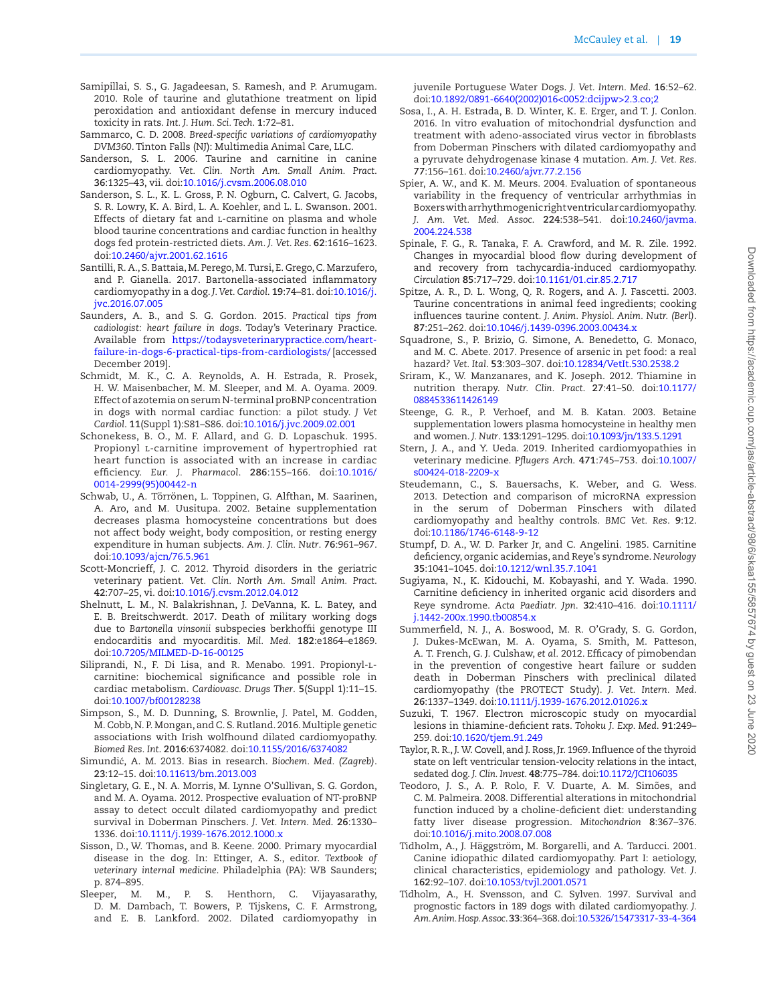- Samipillai, S. S., G. Jagadeesan, S. Ramesh, and P. Arumugam. 2010. Role of taurine and glutathione treatment on lipid peroxidation and antioxidant defense in mercury induced toxicity in rats. *Int. J. Hum. Sci. Tech*. **1**:72–81.
- Sammarco, C. D. 2008. *Breed-specific variations of cardiomyopathy DVM360*. Tinton Falls (NJ): Multimedia Animal Care, LLC.
- Sanderson, S. L. 2006. Taurine and carnitine in canine cardiomyopathy. *Vet. Clin. North Am. Small Anim. Pract*. **36**:1325–43, vii. doi[:10.1016/j.cvsm.2006.08.010](https://doi.org/10.1016/j.cvsm.2006.08.010)
- Sanderson, S. L., K. L. Gross, P. N. Ogburn, C. Calvert, G. Jacobs, S. R. Lowry, K. A. Bird, L. A. Koehler, and L. L. Swanson. 2001. Effects of dietary fat and L-carnitine on plasma and whole blood taurine concentrations and cardiac function in healthy dogs fed protein-restricted diets. *Am. J. Vet. Res*. **62**:1616–1623. doi:[10.2460/ajvr.2001.62.1616](https://doi.org/10.2460/ajvr.2001.62.1616)
- Santilli, R. A., S. Battaia, M. Perego, M. Tursi, E. Grego, C. Marzufero, and P. Gianella. 2017. Bartonella-associated inflammatory cardiomyopathy in a dog. *J. Vet. Cardiol*. **19**:74–81. doi:[10.1016/j.](https://doi.org/10.1016/j.jvc.2016.07.005) [jvc.2016.07.005](https://doi.org/10.1016/j.jvc.2016.07.005)
- Saunders, A. B., and S. G. Gordon. 2015. *Practical tips from cadiologist: heart failure in dogs*. Today's Veterinary Practice. Available from [https://todaysveterinarypractice.com/heart](https://todaysveterinarypractice.com/heart-failure-in-dogs-6-practical-tips-from-cardiologists/﻿)[failure-in-dogs-6-practical-tips-from-cardiologists/](https://todaysveterinarypractice.com/heart-failure-in-dogs-6-practical-tips-from-cardiologists/﻿) [accessed December 2019].
- Schmidt, M. K., C. A. Reynolds, A. H. Estrada, R. Prosek, H. W. Maisenbacher, M. M. Sleeper, and M. A. Oyama. 2009. Effect of azotemia on serum N-terminal proBNP concentration in dogs with normal cardiac function: a pilot study. *J Vet Cardiol*. **11**(Suppl 1):S81–S86. doi:[10.1016/j.jvc.2009.02.001](https://doi.org/10.1016/j.jvc.2009.02.001)
- Schonekess, B. O., M. F. Allard, and G. D. Lopaschuk. 1995. Propionyl l-carnitine improvement of hypertrophied rat heart function is associated with an increase in cardiac efficiency. *Eur. J. Pharmacol*. **286**:155–166. doi[:10.1016/](https://doi.org/10.1016/0014-2999(95)00442-n) [0014-2999\(95\)00442-n](https://doi.org/10.1016/0014-2999(95)00442-n)
- Schwab, U., A. Törrönen, L. Toppinen, G. Alfthan, M. Saarinen, A. Aro, and M. Uusitupa. 2002. Betaine supplementation decreases plasma homocysteine concentrations but does not affect body weight, body composition, or resting energy expenditure in human subjects. *Am. J. Clin. Nutr*. **76**:961–967. doi:[10.1093/ajcn/76.5.961](https://doi.org/10.1093/ajcn/76.5.961)
- Scott-Moncrieff, J. C. 2012. Thyroid disorders in the geriatric veterinary patient. *Vet. Clin. North Am. Small Anim. Pract*. **42**:707–25, vi. doi:[10.1016/j.cvsm.2012.04.012](https://doi.org/10.1016/j.cvsm.2012.04.012)
- Shelnutt, L. M., N. Balakrishnan, J. DeVanna, K. L. Batey, and E. B. Breitschwerdt. 2017. Death of military working dogs due to *Bartonella vinsonii* subspecies berkhoffii genotype III endocarditis and myocarditis. *Mil. Med*. **182**:e1864–e1869. doi:[10.7205/MILMED-D-16-00125](https://doi.org/10.7205/MILMED-D-16-00125)
- Siliprandi, N., F. Di Lisa, and R. Menabo. 1991. Propionyl-lcarnitine: biochemical significance and possible role in cardiac metabolism. *Cardiovasc. Drugs Ther*. **5**(Suppl 1):11–15. doi:[10.1007/bf00128238](https://doi.org/10.1007/bf00128238)
- Simpson, S., M. D. Dunning, S. Brownlie, J. Patel, M. Godden, M. Cobb, N. P. Mongan, and C. S. Rutland. 2016. Multiple genetic associations with Irish wolfhound dilated cardiomyopathy. *Biomed Res. Int*. **2016**:6374082. doi:[10.1155/2016/6374082](https://doi.org/10.1155/2016/6374082)
- Simundić, A. M. 2013. Bias in research. *Biochem. Med. (Zagreb)*. **23**:12–15. doi[:10.11613/bm.2013.003](https://doi.org/10.11613/bm.2013.003)
- Singletary, G. E., N. A. Morris, M. Lynne O'Sullivan, S. G. Gordon, and M. A. Oyama. 2012. Prospective evaluation of NT-proBNP assay to detect occult dilated cardiomyopathy and predict survival in Doberman Pinschers. *J. Vet. Intern. Med*. **26**:1330– 1336. doi[:10.1111/j.1939-1676.2012.1000.x](https://doi.org/10.1111/j.1939-1676.2012.1000.x)
- Sisson, D., W. Thomas, and B. Keene. 2000. Primary myocardial disease in the dog. In: Ettinger, A. S., editor. *Textbook of veterinary internal medicine*. Philadelphia (PA): WB Saunders; p. 874–895.
- Sleeper, M. M., P. S. Henthorn, C. Vijayasarathy, D. M. Dambach, T. Bowers, P. Tijskens, C. F. Armstrong, and E. B. Lankford. 2002. Dilated cardiomyopathy in

juvenile Portuguese Water Dogs. *J. Vet. Intern. Med*. **16**:52–62. doi:[10.1892/0891-6640\(2002\)016<0052:dcijpw>2.3.co;2](https://doi.org/10.1892/0891-6640(2002)016<0052:dcijpw>2.3.co;2)

- Sosa, I., A. H. Estrada, B. D. Winter, K. E. Erger, and T. J. Conlon. 2016. In vitro evaluation of mitochondrial dysfunction and treatment with adeno-associated virus vector in fibroblasts from Doberman Pinschers with dilated cardiomyopathy and a pyruvate dehydrogenase kinase 4 mutation. *Am. J. Vet. Res*. **77**:156–161. doi[:10.2460/ajvr.77.2.156](https://doi.org/10.2460/ajvr.77.2.156)
- Spier, A. W., and K. M. Meurs. 2004. Evaluation of spontaneous variability in the frequency of ventricular arrhythmias in Boxers with arrhythmogenic right ventricular cardiomyopathy. *J. Am. Vet. Med. Assoc*. **224**:538–541. doi:[10.2460/javma.](https://doi.org/10.2460/javma.2004.224.538) [2004.224.538](https://doi.org/10.2460/javma.2004.224.538)
- Spinale, F. G., R. Tanaka, F. A. Crawford, and M. R. Zile. 1992. Changes in myocardial blood flow during development of and recovery from tachycardia-induced cardiomyopathy. *Circulation* **85**:717–729. doi:[10.1161/01.cir.85.2.717](https://doi.org/10.1161/01.cir.85.2.717)
- Spitze, A. R., D. L. Wong, Q. R. Rogers, and A. J. Fascetti. 2003. Taurine concentrations in animal feed ingredients; cooking influences taurine content. *J. Anim. Physiol. Anim. Nutr. (Berl)*. **87**:251–262. doi[:10.1046/j.1439-0396.2003.00434.x](https://doi.org/10.1046/j.1439-0396.2003.00434.x)
- Squadrone, S., P. Brizio, G. Simone, A. Benedetto, G. Monaco, and M. C. Abete. 2017. Presence of arsenic in pet food: a real hazard? *Vet. Ital*. **53**:303–307. doi[:10.12834/VetIt.530.2538.2](https://doi.org/10.12834/VetIt.530.2538.2)
- Sriram, K., W. Manzanares, and K. Joseph. 2012. Thiamine in nutrition therapy. *Nutr. Clin. Pract*. **27**:41–50. doi[:10.1177/](https://doi.org/10.1177/0884533611426149) [0884533611426149](https://doi.org/10.1177/0884533611426149)
- Steenge, G. R., P. Verhoef, and M. B. Katan. 2003. Betaine supplementation lowers plasma homocysteine in healthy men and women. *J. Nutr*. **133**:1291–1295. doi:[10.1093/jn/133.5.1291](https://doi.org/10.1093/jn/133.5.1291)
- Stern, J. A., and Y. Ueda. 2019. Inherited cardiomyopathies in veterinary medicine. *Pflugers Arch*. **471**:745–753. doi[:10.1007/](https://doi.org/10.1007/s00424-018-2209-x) [s00424-018-2209-x](https://doi.org/10.1007/s00424-018-2209-x)
- Steudemann, C., S. Bauersachs, K. Weber, and G. Wess. 2013. Detection and comparison of microRNA expression in the serum of Doberman Pinschers with dilated cardiomyopathy and healthy controls. *BMC Vet. Res*. **9**:12. doi:[10.1186/1746-6148-9-12](https://doi.org/10.1186/1746-6148-9-12)
- Stumpf, D. A., W. D. Parker Jr, and C. Angelini. 1985. Carnitine deficiency, organic acidemias, and Reye's syndrome. *Neurology* **35**:1041–1045. doi:[10.1212/wnl.35.7.1041](https://doi.org/10.1212/wnl.35.7.1041)
- Sugiyama, N., K. Kidouchi, M. Kobayashi, and Y. Wada. 1990. Carnitine deficiency in inherited organic acid disorders and Reye syndrome. *Acta Paediatr. Jpn*. **32**:410–416. doi[:10.1111/](https://doi.org/10.1111/j.1442-200x.1990.tb00854.x) [j.1442-200x.1990.tb00854.x](https://doi.org/10.1111/j.1442-200x.1990.tb00854.x)
- Summerfield, N. J., A. Boswood, M. R. O'Grady, S. G. Gordon, J. Dukes-McEwan, M. A. Oyama, S. Smith, M. Patteson, A. T. French, G. J. Culshaw, *et al.* 2012. Efficacy of pimobendan in the prevention of congestive heart failure or sudden death in Doberman Pinschers with preclinical dilated cardiomyopathy (the PROTECT Study). *J. Vet. Intern. Med*. **26**:1337–1349. doi:[10.1111/j.1939-1676.2012.01026.x](https://doi.org/10.1111/j.1939-1676.2012.01026.x)
- <span id="page-18-0"></span>Suzuki, T. 1967. Electron microscopic study on myocardial lesions in thiamine-deficient rats. *Tohoku J. Exp. Med*. **91**:249– 259. doi[:10.1620/tjem.91.249](https://doi.org/10.1620/tjem.91.249)
- Taylor, R. R., J. W. Covell, and J. Ross, Jr. 1969. Influence of the thyroid state on left ventricular tension-velocity relations in the intact, sedated dog. *J. Clin. Invest*. **48**:775–784. doi[:10.1172/JCI106035](https://doi.org/10.1172/JCI106035)
- Teodoro, J. S., A. P. Rolo, F. V. Duarte, A. M. Simões, and C. M. Palmeira. 2008. Differential alterations in mitochondrial function induced by a choline-deficient diet: understanding fatty liver disease progression. *Mitochondrion* **8**:367–376. doi:[10.1016/j.mito.2008.07.008](https://doi.org/10.1016/j.mito.2008.07.008)
- Tidholm, A., J. Häggström, M. Borgarelli, and A. Tarducci. 2001. Canine idiopathic dilated cardiomyopathy. Part I: aetiology, clinical characteristics, epidemiology and pathology. *Vet. J*. **162**:92–107. doi:[10.1053/tvjl.2001.0571](https://doi.org/10.1053/tvjl.2001.0571)
- Tidholm, A., H. Svensson, and C. Sylven. 1997. Survival and prognostic factors in 189 dogs with dilated cardiomyopathy. *J. Am. Anim. Hosp. Assoc*. **33**:364–368. doi[:10.5326/15473317-33-4-364](https://doi.org/10.5326/15473317-33-4-364)